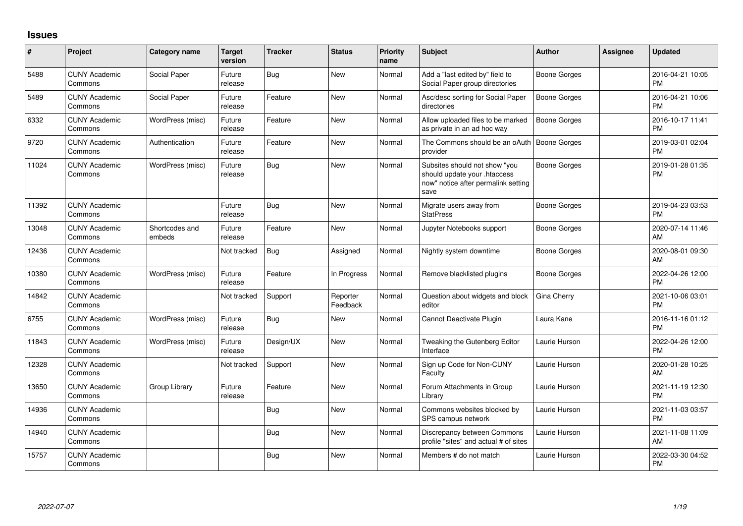## **Issues**

| #     | <b>Project</b>                  | <b>Category name</b>     | <b>Target</b><br>version | <b>Tracker</b> | <b>Status</b>        | Priority<br>name | Subject                                                                                                      | <b>Author</b>       | <b>Assignee</b> | <b>Updated</b>                |
|-------|---------------------------------|--------------------------|--------------------------|----------------|----------------------|------------------|--------------------------------------------------------------------------------------------------------------|---------------------|-----------------|-------------------------------|
| 5488  | <b>CUNY Academic</b><br>Commons | Social Paper             | Future<br>release        | Bug            | <b>New</b>           | Normal           | Add a "last edited by" field to<br>Social Paper group directories                                            | <b>Boone Gorges</b> |                 | 2016-04-21 10:05<br><b>PM</b> |
| 5489  | <b>CUNY Academic</b><br>Commons | Social Paper             | Future<br>release        | Feature        | <b>New</b>           | Normal           | Asc/desc sorting for Social Paper<br>directories                                                             | <b>Boone Gorges</b> |                 | 2016-04-21 10:06<br><b>PM</b> |
| 6332  | <b>CUNY Academic</b><br>Commons | WordPress (misc)         | Future<br>release        | Feature        | <b>New</b>           | Normal           | Allow uploaded files to be marked<br>as private in an ad hoc way                                             | <b>Boone Gorges</b> |                 | 2016-10-17 11:41<br><b>PM</b> |
| 9720  | <b>CUNY Academic</b><br>Commons | Authentication           | Future<br>release        | Feature        | <b>New</b>           | Normal           | The Commons should be an oAuth  <br>provider                                                                 | Boone Gorges        |                 | 2019-03-01 02:04<br><b>PM</b> |
| 11024 | <b>CUNY Academic</b><br>Commons | WordPress (misc)         | Future<br>release        | <b>Bug</b>     | New                  | Normal           | Subsites should not show "you<br>should update your .htaccess<br>now" notice after permalink setting<br>save | <b>Boone Gorges</b> |                 | 2019-01-28 01:35<br><b>PM</b> |
| 11392 | <b>CUNY Academic</b><br>Commons |                          | Future<br>release        | <b>Bug</b>     | <b>New</b>           | Normal           | Migrate users away from<br><b>StatPress</b>                                                                  | <b>Boone Gorges</b> |                 | 2019-04-23 03:53<br><b>PM</b> |
| 13048 | <b>CUNY Academic</b><br>Commons | Shortcodes and<br>embeds | Future<br>release        | Feature        | <b>New</b>           | Normal           | Jupyter Notebooks support                                                                                    | <b>Boone Gorges</b> |                 | 2020-07-14 11:46<br>AM        |
| 12436 | <b>CUNY Academic</b><br>Commons |                          | Not tracked              | Bug            | Assigned             | Normal           | Nightly system downtime                                                                                      | Boone Gorges        |                 | 2020-08-01 09:30<br>AM        |
| 10380 | <b>CUNY Academic</b><br>Commons | WordPress (misc)         | Future<br>release        | Feature        | In Progress          | Normal           | Remove blacklisted plugins                                                                                   | Boone Gorges        |                 | 2022-04-26 12:00<br><b>PM</b> |
| 14842 | <b>CUNY Academic</b><br>Commons |                          | Not tracked              | Support        | Reporter<br>Feedback | Normal           | Question about widgets and block<br>editor                                                                   | Gina Cherry         |                 | 2021-10-06 03:01<br><b>PM</b> |
| 6755  | <b>CUNY Academic</b><br>Commons | WordPress (misc)         | Future<br>release        | Bug            | <b>New</b>           | Normal           | Cannot Deactivate Plugin                                                                                     | Laura Kane          |                 | 2016-11-16 01:12<br><b>PM</b> |
| 11843 | <b>CUNY Academic</b><br>Commons | WordPress (misc)         | Future<br>release        | Design/UX      | <b>New</b>           | Normal           | Tweaking the Gutenberg Editor<br>Interface                                                                   | Laurie Hurson       |                 | 2022-04-26 12:00<br><b>PM</b> |
| 12328 | <b>CUNY Academic</b><br>Commons |                          | Not tracked              | Support        | <b>New</b>           | Normal           | Sign up Code for Non-CUNY<br>Faculty                                                                         | Laurie Hurson       |                 | 2020-01-28 10:25<br>AM        |
| 13650 | <b>CUNY Academic</b><br>Commons | Group Library            | Future<br>release        | Feature        | New                  | Normal           | Forum Attachments in Group<br>Library                                                                        | Laurie Hurson       |                 | 2021-11-19 12:30<br>PM        |
| 14936 | <b>CUNY Academic</b><br>Commons |                          |                          | Bug            | New                  | Normal           | Commons websites blocked by<br>SPS campus network                                                            | Laurie Hurson       |                 | 2021-11-03 03:57<br><b>PM</b> |
| 14940 | <b>CUNY Academic</b><br>Commons |                          |                          | <b>Bug</b>     | New                  | Normal           | Discrepancy between Commons<br>profile "sites" and actual # of sites                                         | Laurie Hurson       |                 | 2021-11-08 11:09<br>AM        |
| 15757 | <b>CUNY Academic</b><br>Commons |                          |                          | <b>Bug</b>     | New                  | Normal           | Members # do not match                                                                                       | Laurie Hurson       |                 | 2022-03-30 04:52<br><b>PM</b> |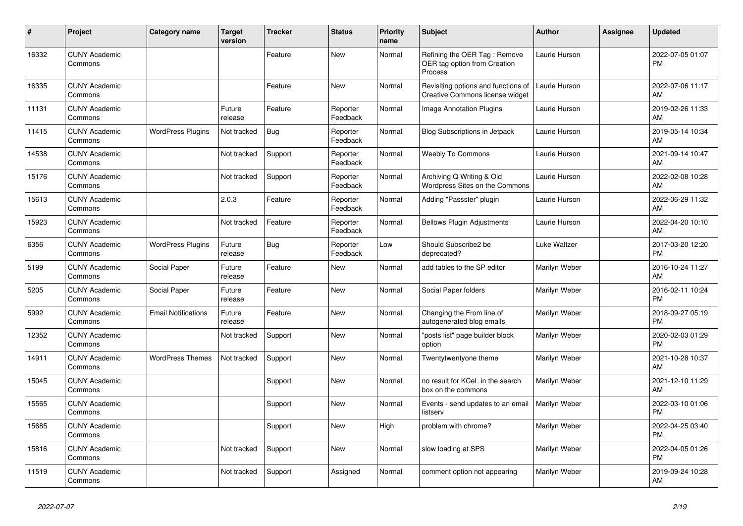| #     | Project                         | Category name              | <b>Target</b><br>version | <b>Tracker</b> | <b>Status</b>        | <b>Priority</b><br>name | <b>Subject</b>                                                          | <b>Author</b> | <b>Assignee</b> | <b>Updated</b>                |
|-------|---------------------------------|----------------------------|--------------------------|----------------|----------------------|-------------------------|-------------------------------------------------------------------------|---------------|-----------------|-------------------------------|
| 16332 | <b>CUNY Academic</b><br>Commons |                            |                          | Feature        | New                  | Normal                  | Refining the OER Tag: Remove<br>OER tag option from Creation<br>Process | Laurie Hurson |                 | 2022-07-05 01:07<br><b>PM</b> |
| 16335 | <b>CUNY Academic</b><br>Commons |                            |                          | Feature        | <b>New</b>           | Normal                  | Revisiting options and functions of<br>Creative Commons license widget  | Laurie Hurson |                 | 2022-07-06 11:17<br>AM        |
| 11131 | <b>CUNY Academic</b><br>Commons |                            | Future<br>release        | Feature        | Reporter<br>Feedback | Normal                  | <b>Image Annotation Plugins</b>                                         | Laurie Hurson |                 | 2019-02-26 11:33<br>AM        |
| 11415 | <b>CUNY Academic</b><br>Commons | <b>WordPress Plugins</b>   | Not tracked              | <b>Bug</b>     | Reporter<br>Feedback | Normal                  | <b>Blog Subscriptions in Jetpack</b>                                    | Laurie Hurson |                 | 2019-05-14 10:34<br>AM        |
| 14538 | <b>CUNY Academic</b><br>Commons |                            | Not tracked              | Support        | Reporter<br>Feedback | Normal                  | <b>Weebly To Commons</b>                                                | Laurie Hurson |                 | 2021-09-14 10:47<br>AM        |
| 15176 | <b>CUNY Academic</b><br>Commons |                            | Not tracked              | Support        | Reporter<br>Feedback | Normal                  | Archiving Q Writing & Old<br>Wordpress Sites on the Commons             | Laurie Hurson |                 | 2022-02-08 10:28<br>AM        |
| 15613 | <b>CUNY Academic</b><br>Commons |                            | 2.0.3                    | Feature        | Reporter<br>Feedback | Normal                  | Adding "Passster" plugin                                                | Laurie Hurson |                 | 2022-06-29 11:32<br>AM        |
| 15923 | <b>CUNY Academic</b><br>Commons |                            | Not tracked              | Feature        | Reporter<br>Feedback | Normal                  | <b>Bellows Plugin Adjustments</b>                                       | Laurie Hurson |                 | 2022-04-20 10:10<br>AM        |
| 6356  | <b>CUNY Academic</b><br>Commons | <b>WordPress Plugins</b>   | Future<br>release        | Bug            | Reporter<br>Feedback | Low                     | Should Subscribe2 be<br>deprecated?                                     | Luke Waltzer  |                 | 2017-03-20 12:20<br><b>PM</b> |
| 5199  | <b>CUNY Academic</b><br>Commons | Social Paper               | Future<br>release        | Feature        | New                  | Normal                  | add tables to the SP editor                                             | Marilyn Weber |                 | 2016-10-24 11:27<br>AM        |
| 5205  | <b>CUNY Academic</b><br>Commons | Social Paper               | Future<br>release        | Feature        | New                  | Normal                  | Social Paper folders                                                    | Marilyn Weber |                 | 2016-02-11 10:24<br><b>PM</b> |
| 5992  | <b>CUNY Academic</b><br>Commons | <b>Email Notifications</b> | Future<br>release        | Feature        | <b>New</b>           | Normal                  | Changing the From line of<br>autogenerated blog emails                  | Marilyn Weber |                 | 2018-09-27 05:19<br><b>PM</b> |
| 12352 | <b>CUNY Academic</b><br>Commons |                            | Not tracked              | Support        | <b>New</b>           | Normal                  | 'posts list" page builder block<br>option                               | Marilyn Weber |                 | 2020-02-03 01:29<br><b>PM</b> |
| 14911 | <b>CUNY Academic</b><br>Commons | <b>WordPress Themes</b>    | Not tracked              | Support        | New                  | Normal                  | Twentytwentyone theme                                                   | Marilyn Weber |                 | 2021-10-28 10:37<br>AM        |
| 15045 | <b>CUNY Academic</b><br>Commons |                            |                          | Support        | New                  | Normal                  | no result for KCeL in the search<br>box on the commons                  | Marilyn Weber |                 | 2021-12-10 11:29<br>AM        |
| 15565 | <b>CUNY Academic</b><br>Commons |                            |                          | Support        | <b>New</b>           | Normal                  | Events - send updates to an email<br>listserv                           | Marilyn Weber |                 | 2022-03-10 01:06<br>PM        |
| 15685 | <b>CUNY Academic</b><br>Commons |                            |                          | Support        | <b>New</b>           | High                    | problem with chrome?                                                    | Marilyn Weber |                 | 2022-04-25 03:40<br><b>PM</b> |
| 15816 | <b>CUNY Academic</b><br>Commons |                            | Not tracked              | Support        | New                  | Normal                  | slow loading at SPS                                                     | Marilyn Weber |                 | 2022-04-05 01:26<br><b>PM</b> |
| 11519 | <b>CUNY Academic</b><br>Commons |                            | Not tracked              | Support        | Assigned             | Normal                  | comment option not appearing                                            | Marilyn Weber |                 | 2019-09-24 10:28<br>AM        |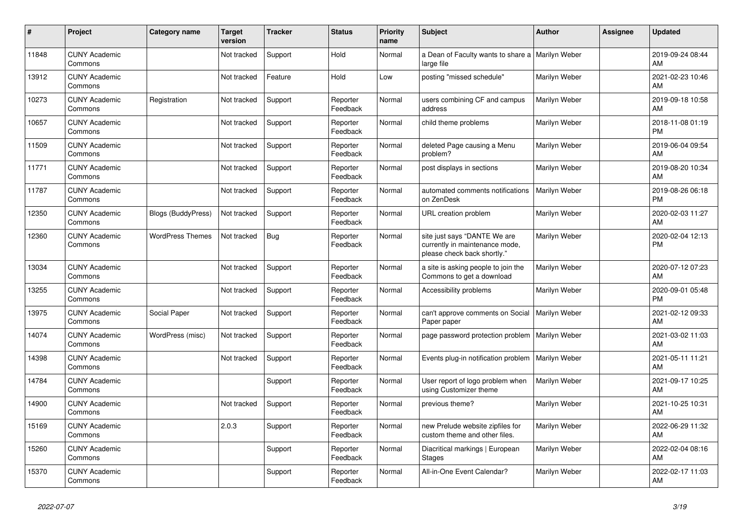| #     | Project                         | <b>Category name</b>    | <b>Target</b><br>version | <b>Tracker</b> | <b>Status</b>        | <b>Priority</b><br>name | <b>Subject</b>                                                                                | <b>Author</b> | Assignee | <b>Updated</b>                |
|-------|---------------------------------|-------------------------|--------------------------|----------------|----------------------|-------------------------|-----------------------------------------------------------------------------------------------|---------------|----------|-------------------------------|
| 11848 | <b>CUNY Academic</b><br>Commons |                         | Not tracked              | Support        | Hold                 | Normal                  | a Dean of Faculty wants to share a<br>large file                                              | Marilyn Weber |          | 2019-09-24 08:44<br>AM        |
| 13912 | <b>CUNY Academic</b><br>Commons |                         | Not tracked              | Feature        | Hold                 | Low                     | posting "missed schedule"                                                                     | Marilyn Weber |          | 2021-02-23 10:46<br>AM        |
| 10273 | <b>CUNY Academic</b><br>Commons | Registration            | Not tracked              | Support        | Reporter<br>Feedback | Normal                  | users combining CF and campus<br>address                                                      | Marilyn Weber |          | 2019-09-18 10:58<br>AM        |
| 10657 | <b>CUNY Academic</b><br>Commons |                         | Not tracked              | Support        | Reporter<br>Feedback | Normal                  | child theme problems                                                                          | Marilyn Weber |          | 2018-11-08 01:19<br><b>PM</b> |
| 11509 | <b>CUNY Academic</b><br>Commons |                         | Not tracked              | Support        | Reporter<br>Feedback | Normal                  | deleted Page causing a Menu<br>problem?                                                       | Marilyn Weber |          | 2019-06-04 09:54<br>AM        |
| 11771 | <b>CUNY Academic</b><br>Commons |                         | Not tracked              | Support        | Reporter<br>Feedback | Normal                  | post displays in sections                                                                     | Marilyn Weber |          | 2019-08-20 10:34<br>AM        |
| 11787 | <b>CUNY Academic</b><br>Commons |                         | Not tracked              | Support        | Reporter<br>Feedback | Normal                  | automated comments notifications<br>on ZenDesk                                                | Marilyn Weber |          | 2019-08-26 06:18<br><b>PM</b> |
| 12350 | <b>CUNY Academic</b><br>Commons | Blogs (BuddyPress)      | Not tracked              | Support        | Reporter<br>Feedback | Normal                  | URL creation problem                                                                          | Marilyn Weber |          | 2020-02-03 11:27<br>AM        |
| 12360 | <b>CUNY Academic</b><br>Commons | <b>WordPress Themes</b> | Not tracked              | Bug            | Reporter<br>Feedback | Normal                  | site just says "DANTE We are<br>currently in maintenance mode,<br>please check back shortly." | Marilyn Weber |          | 2020-02-04 12:13<br><b>PM</b> |
| 13034 | <b>CUNY Academic</b><br>Commons |                         | Not tracked              | Support        | Reporter<br>Feedback | Normal                  | a site is asking people to join the<br>Commons to get a download                              | Marilyn Weber |          | 2020-07-12 07:23<br>AM        |
| 13255 | <b>CUNY Academic</b><br>Commons |                         | Not tracked              | Support        | Reporter<br>Feedback | Normal                  | Accessibility problems                                                                        | Marilyn Weber |          | 2020-09-01 05:48<br><b>PM</b> |
| 13975 | <b>CUNY Academic</b><br>Commons | Social Paper            | Not tracked              | Support        | Reporter<br>Feedback | Normal                  | can't approve comments on Social<br>Paper paper                                               | Marilyn Weber |          | 2021-02-12 09:33<br>AM        |
| 14074 | <b>CUNY Academic</b><br>Commons | WordPress (misc)        | Not tracked              | Support        | Reporter<br>Feedback | Normal                  | page password protection problem                                                              | Marilyn Weber |          | 2021-03-02 11:03<br>AM        |
| 14398 | <b>CUNY Academic</b><br>Commons |                         | Not tracked              | Support        | Reporter<br>Feedback | Normal                  | Events plug-in notification problem                                                           | Marilyn Weber |          | 2021-05-11 11:21<br>AM        |
| 14784 | <b>CUNY Academic</b><br>Commons |                         |                          | Support        | Reporter<br>Feedback | Normal                  | User report of logo problem when<br>using Customizer theme                                    | Marilyn Weber |          | 2021-09-17 10:25<br>AM        |
| 14900 | <b>CUNY Academic</b><br>Commons |                         | Not tracked              | Support        | Reporter<br>Feedback | Normal                  | previous theme?                                                                               | Marilyn Weber |          | 2021-10-25 10:31<br>AM        |
| 15169 | <b>CUNY Academic</b><br>Commons |                         | 2.0.3                    | Support        | Reporter<br>Feedback | Normal                  | new Prelude website zipfiles for<br>custom theme and other files.                             | Marilyn Weber |          | 2022-06-29 11:32<br>AM        |
| 15260 | <b>CUNY Academic</b><br>Commons |                         |                          | Support        | Reporter<br>Feedback | Normal                  | Diacritical markings   European<br><b>Stages</b>                                              | Marilyn Weber |          | 2022-02-04 08:16<br>AM        |
| 15370 | <b>CUNY Academic</b><br>Commons |                         |                          | Support        | Reporter<br>Feedback | Normal                  | All-in-One Event Calendar?                                                                    | Marilyn Weber |          | 2022-02-17 11:03<br>AM        |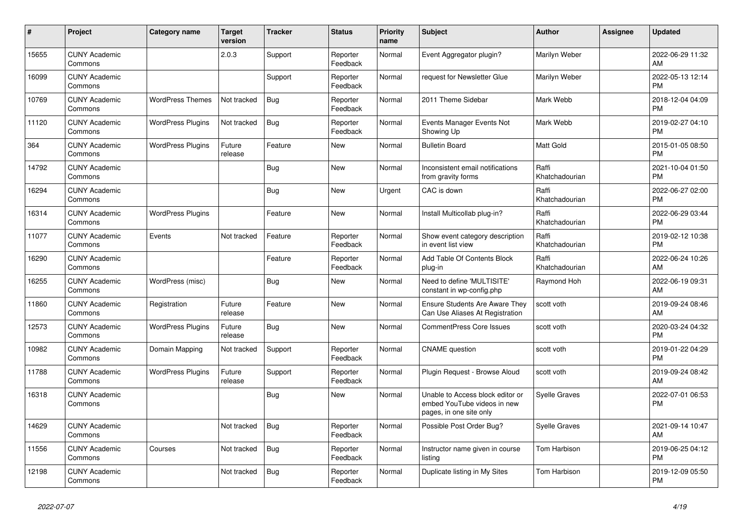| #     | Project                         | <b>Category name</b>     | <b>Target</b><br>version | <b>Tracker</b> | <b>Status</b>        | <b>Priority</b><br>name | <b>Subject</b>                                                                             | <b>Author</b>           | <b>Assignee</b> | <b>Updated</b>                |
|-------|---------------------------------|--------------------------|--------------------------|----------------|----------------------|-------------------------|--------------------------------------------------------------------------------------------|-------------------------|-----------------|-------------------------------|
| 15655 | <b>CUNY Academic</b><br>Commons |                          | 2.0.3                    | Support        | Reporter<br>Feedback | Normal                  | Event Aggregator plugin?                                                                   | Marilyn Weber           |                 | 2022-06-29 11:32<br>AM        |
| 16099 | <b>CUNY Academic</b><br>Commons |                          |                          | Support        | Reporter<br>Feedback | Normal                  | request for Newsletter Glue                                                                | Marilyn Weber           |                 | 2022-05-13 12:14<br><b>PM</b> |
| 10769 | <b>CUNY Academic</b><br>Commons | <b>WordPress Themes</b>  | Not tracked              | <b>Bug</b>     | Reporter<br>Feedback | Normal                  | 2011 Theme Sidebar                                                                         | Mark Webb               |                 | 2018-12-04 04:09<br><b>PM</b> |
| 11120 | <b>CUNY Academic</b><br>Commons | <b>WordPress Plugins</b> | Not tracked              | <b>Bug</b>     | Reporter<br>Feedback | Normal                  | Events Manager Events Not<br>Showing Up                                                    | Mark Webb               |                 | 2019-02-27 04:10<br><b>PM</b> |
| 364   | <b>CUNY Academic</b><br>Commons | <b>WordPress Plugins</b> | Future<br>release        | Feature        | New                  | Normal                  | <b>Bulletin Board</b>                                                                      | <b>Matt Gold</b>        |                 | 2015-01-05 08:50<br><b>PM</b> |
| 14792 | <b>CUNY Academic</b><br>Commons |                          |                          | <b>Bug</b>     | <b>New</b>           | Normal                  | Inconsistent email notifications<br>from gravity forms                                     | Raffi<br>Khatchadourian |                 | 2021-10-04 01:50<br><b>PM</b> |
| 16294 | <b>CUNY Academic</b><br>Commons |                          |                          | <b>Bug</b>     | <b>New</b>           | Urgent                  | CAC is down                                                                                | Raffi<br>Khatchadourian |                 | 2022-06-27 02:00<br>PM        |
| 16314 | <b>CUNY Academic</b><br>Commons | <b>WordPress Plugins</b> |                          | Feature        | <b>New</b>           | Normal                  | Install Multicollab plug-in?                                                               | Raffi<br>Khatchadourian |                 | 2022-06-29 03:44<br><b>PM</b> |
| 11077 | <b>CUNY Academic</b><br>Commons | Events                   | Not tracked              | Feature        | Reporter<br>Feedback | Normal                  | Show event category description<br>in event list view                                      | Raffi<br>Khatchadourian |                 | 2019-02-12 10:38<br><b>PM</b> |
| 16290 | <b>CUNY Academic</b><br>Commons |                          |                          | Feature        | Reporter<br>Feedback | Normal                  | Add Table Of Contents Block<br>plug-in                                                     | Raffi<br>Khatchadourian |                 | 2022-06-24 10:26<br>AM        |
| 16255 | <b>CUNY Academic</b><br>Commons | WordPress (misc)         |                          | <b>Bug</b>     | <b>New</b>           | Normal                  | Need to define 'MULTISITE'<br>constant in wp-config.php                                    | Raymond Hoh             |                 | 2022-06-19 09:31<br>AM        |
| 11860 | <b>CUNY Academic</b><br>Commons | Registration             | Future<br>release        | Feature        | <b>New</b>           | Normal                  | <b>Ensure Students Are Aware They</b><br>Can Use Aliases At Registration                   | scott voth              |                 | 2019-09-24 08:46<br>AM        |
| 12573 | <b>CUNY Academic</b><br>Commons | <b>WordPress Plugins</b> | Future<br>release        | <b>Bug</b>     | <b>New</b>           | Normal                  | <b>CommentPress Core Issues</b>                                                            | scott voth              |                 | 2020-03-24 04:32<br><b>PM</b> |
| 10982 | <b>CUNY Academic</b><br>Commons | Domain Mapping           | Not tracked              | Support        | Reporter<br>Feedback | Normal                  | <b>CNAME</b> question                                                                      | scott voth              |                 | 2019-01-22 04:29<br>PM        |
| 11788 | <b>CUNY Academic</b><br>Commons | <b>WordPress Plugins</b> | Future<br>release        | Support        | Reporter<br>Feedback | Normal                  | Plugin Request - Browse Aloud                                                              | scott voth              |                 | 2019-09-24 08:42<br>AM        |
| 16318 | <b>CUNY Academic</b><br>Commons |                          |                          | <b>Bug</b>     | <b>New</b>           | Normal                  | Unable to Access block editor or<br>embed YouTube videos in new<br>pages, in one site only | Syelle Graves           |                 | 2022-07-01 06:53<br><b>PM</b> |
| 14629 | <b>CUNY Academic</b><br>Commons |                          | Not tracked              | <b>Bug</b>     | Reporter<br>Feedback | Normal                  | Possible Post Order Bug?                                                                   | Syelle Graves           |                 | 2021-09-14 10:47<br>AM        |
| 11556 | <b>CUNY Academic</b><br>Commons | Courses                  | Not tracked              | <b>Bug</b>     | Reporter<br>Feedback | Normal                  | Instructor name given in course<br>listing                                                 | Tom Harbison            |                 | 2019-06-25 04:12<br><b>PM</b> |
| 12198 | <b>CUNY Academic</b><br>Commons |                          | Not tracked              | Bug            | Reporter<br>Feedback | Normal                  | Duplicate listing in My Sites                                                              | Tom Harbison            |                 | 2019-12-09 05:50<br><b>PM</b> |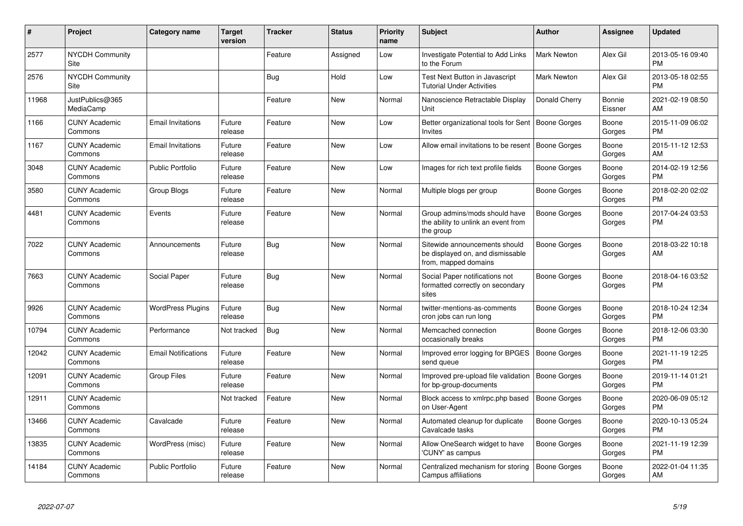| #     | Project                         | Category name              | <b>Target</b><br>version | <b>Tracker</b> | <b>Status</b> | <b>Priority</b><br>name | <b>Subject</b>                                                                            | <b>Author</b>       | <b>Assignee</b>          | <b>Updated</b>                |
|-------|---------------------------------|----------------------------|--------------------------|----------------|---------------|-------------------------|-------------------------------------------------------------------------------------------|---------------------|--------------------------|-------------------------------|
| 2577  | <b>NYCDH Community</b><br>Site  |                            |                          | Feature        | Assigned      | Low                     | Investigate Potential to Add Links<br>to the Forum                                        | <b>Mark Newton</b>  | Alex Gil                 | 2013-05-16 09:40<br><b>PM</b> |
| 2576  | <b>NYCDH Community</b><br>Site  |                            |                          | Bug            | Hold          | Low                     | Test Next Button in Javascript<br><b>Tutorial Under Activities</b>                        | Mark Newton         | Alex Gil                 | 2013-05-18 02:55<br><b>PM</b> |
| 11968 | JustPublics@365<br>MediaCamp    |                            |                          | Feature        | New           | Normal                  | Nanoscience Retractable Display<br>Unit                                                   | Donald Cherry       | <b>Bonnie</b><br>Eissner | 2021-02-19 08:50<br>AM        |
| 1166  | <b>CUNY Academic</b><br>Commons | <b>Email Invitations</b>   | Future<br>release        | Feature        | New           | Low                     | Better organizational tools for Sent<br><b>Invites</b>                                    | <b>Boone Gorges</b> | Boone<br>Gorges          | 2015-11-09 06:02<br><b>PM</b> |
| 1167  | <b>CUNY Academic</b><br>Commons | <b>Email Invitations</b>   | Future<br>release        | Feature        | <b>New</b>    | Low                     | Allow email invitations to be resent   Boone Gorges                                       |                     | Boone<br>Gorges          | 2015-11-12 12:53<br>AM        |
| 3048  | <b>CUNY Academic</b><br>Commons | <b>Public Portfolio</b>    | Future<br>release        | Feature        | <b>New</b>    | Low                     | Images for rich text profile fields                                                       | Boone Gorges        | Boone<br>Gorges          | 2014-02-19 12:56<br><b>PM</b> |
| 3580  | <b>CUNY Academic</b><br>Commons | Group Blogs                | Future<br>release        | Feature        | <b>New</b>    | Normal                  | Multiple blogs per group                                                                  | Boone Gorges        | Boone<br>Gorges          | 2018-02-20 02:02<br><b>PM</b> |
| 4481  | <b>CUNY Academic</b><br>Commons | Events                     | Future<br>release        | Feature        | <b>New</b>    | Normal                  | Group admins/mods should have<br>the ability to unlink an event from<br>the group         | <b>Boone Gorges</b> | Boone<br>Gorges          | 2017-04-24 03:53<br><b>PM</b> |
| 7022  | <b>CUNY Academic</b><br>Commons | Announcements              | Future<br>release        | <b>Bug</b>     | New           | Normal                  | Sitewide announcements should<br>be displayed on, and dismissable<br>from, mapped domains | <b>Boone Gorges</b> | Boone<br>Gorges          | 2018-03-22 10:18<br>AM        |
| 7663  | <b>CUNY Academic</b><br>Commons | Social Paper               | Future<br>release        | Bug            | <b>New</b>    | Normal                  | Social Paper notifications not<br>formatted correctly on secondary<br>sites               | Boone Gorges        | Boone<br>Gorges          | 2018-04-16 03:52<br><b>PM</b> |
| 9926  | <b>CUNY Academic</b><br>Commons | <b>WordPress Plugins</b>   | Future<br>release        | <b>Bug</b>     | <b>New</b>    | Normal                  | twitter-mentions-as-comments<br>cron jobs can run long                                    | Boone Gorges        | Boone<br>Gorges          | 2018-10-24 12:34<br><b>PM</b> |
| 10794 | <b>CUNY Academic</b><br>Commons | Performance                | Not tracked              | <b>Bug</b>     | <b>New</b>    | Normal                  | Memcached connection<br>occasionally breaks                                               | Boone Gorges        | Boone<br>Gorges          | 2018-12-06 03:30<br><b>PM</b> |
| 12042 | <b>CUNY Academic</b><br>Commons | <b>Email Notifications</b> | Future<br>release        | Feature        | <b>New</b>    | Normal                  | Improved error logging for BPGES<br>send queue                                            | <b>Boone Gorges</b> | Boone<br>Gorges          | 2021-11-19 12:25<br><b>PM</b> |
| 12091 | <b>CUNY Academic</b><br>Commons | <b>Group Files</b>         | Future<br>release        | Feature        | <b>New</b>    | Normal                  | Improved pre-upload file validation<br>for bp-group-documents                             | <b>Boone Gorges</b> | Boone<br>Gorges          | 2019-11-14 01:21<br><b>PM</b> |
| 12911 | <b>CUNY Academic</b><br>Commons |                            | Not tracked              | Feature        | <b>New</b>    | Normal                  | Block access to xmlrpc.php based<br>on User-Agent                                         | <b>Boone Gorges</b> | Boone<br>Gorges          | 2020-06-09 05:12<br><b>PM</b> |
| 13466 | <b>CUNY Academic</b><br>Commons | Cavalcade                  | Future<br>release        | Feature        | <b>New</b>    | Normal                  | Automated cleanup for duplicate<br>Cavalcade tasks                                        | Boone Gorges        | Boone<br>Gorges          | 2020-10-13 05:24<br><b>PM</b> |
| 13835 | <b>CUNY Academic</b><br>Commons | WordPress (misc)           | Future<br>release        | Feature        | <b>New</b>    | Normal                  | Allow OneSearch widget to have<br>'CUNY' as campus                                        | Boone Gorges        | Boone<br>Gorges          | 2021-11-19 12:39<br><b>PM</b> |
| 14184 | <b>CUNY Academic</b><br>Commons | <b>Public Portfolio</b>    | Future<br>release        | Feature        | <b>New</b>    | Normal                  | Centralized mechanism for storing<br>Campus affiliations                                  | Boone Gorges        | Boone<br>Gorges          | 2022-01-04 11:35<br>AM        |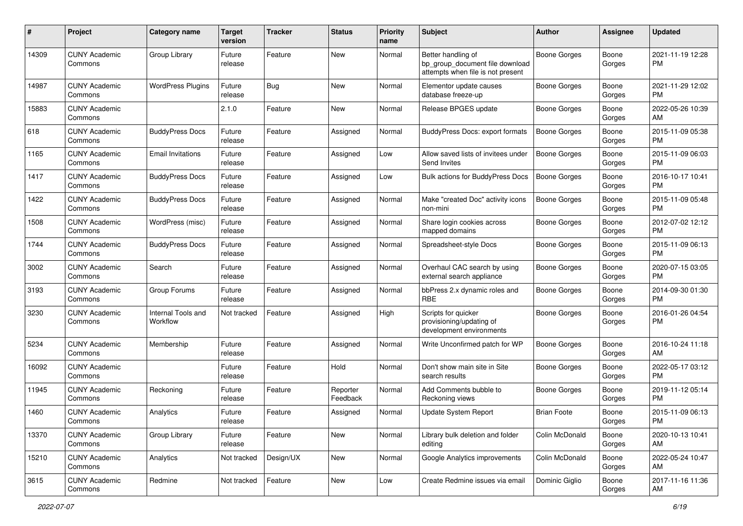| #     | Project                         | <b>Category name</b>           | <b>Target</b><br>version | <b>Tracker</b> | <b>Status</b>        | <b>Priority</b><br>name | Subject                                                                                    | Author              | Assignee        | <b>Updated</b>                |
|-------|---------------------------------|--------------------------------|--------------------------|----------------|----------------------|-------------------------|--------------------------------------------------------------------------------------------|---------------------|-----------------|-------------------------------|
| 14309 | <b>CUNY Academic</b><br>Commons | Group Library                  | Future<br>release        | Feature        | New                  | Normal                  | Better handling of<br>bp_group_document file download<br>attempts when file is not present | Boone Gorges        | Boone<br>Gorges | 2021-11-19 12:28<br>PM        |
| 14987 | <b>CUNY Academic</b><br>Commons | <b>WordPress Plugins</b>       | Future<br>release        | Bug            | New                  | Normal                  | Elementor update causes<br>database freeze-up                                              | Boone Gorges        | Boone<br>Gorges | 2021-11-29 12:02<br>PM        |
| 15883 | <b>CUNY Academic</b><br>Commons |                                | 2.1.0                    | Feature        | New                  | Normal                  | Release BPGES update                                                                       | Boone Gorges        | Boone<br>Gorges | 2022-05-26 10:39<br>AM        |
| 618   | <b>CUNY Academic</b><br>Commons | <b>BuddyPress Docs</b>         | Future<br>release        | Feature        | Assigned             | Normal                  | <b>BuddyPress Docs: export formats</b>                                                     | Boone Gorges        | Boone<br>Gorges | 2015-11-09 05:38<br><b>PM</b> |
| 1165  | <b>CUNY Academic</b><br>Commons | <b>Email Invitations</b>       | Future<br>release        | Feature        | Assigned             | Low                     | Allow saved lists of invitees under<br>Send Invites                                        | Boone Gorges        | Boone<br>Gorges | 2015-11-09 06:03<br><b>PM</b> |
| 1417  | <b>CUNY Academic</b><br>Commons | <b>BuddyPress Docs</b>         | Future<br>release        | Feature        | Assigned             | Low                     | Bulk actions for BuddyPress Docs                                                           | Boone Gorges        | Boone<br>Gorges | 2016-10-17 10:41<br><b>PM</b> |
| 1422  | <b>CUNY Academic</b><br>Commons | <b>BuddyPress Docs</b>         | Future<br>release        | Feature        | Assigned             | Normal                  | Make "created Doc" activity icons<br>non-mini                                              | <b>Boone Gorges</b> | Boone<br>Gorges | 2015-11-09 05:48<br><b>PM</b> |
| 1508  | <b>CUNY Academic</b><br>Commons | WordPress (misc)               | Future<br>release        | Feature        | Assigned             | Normal                  | Share login cookies across<br>mapped domains                                               | Boone Gorges        | Boone<br>Gorges | 2012-07-02 12:12<br>PM        |
| 1744  | <b>CUNY Academic</b><br>Commons | <b>BuddyPress Docs</b>         | Future<br>release        | Feature        | Assigned             | Normal                  | Spreadsheet-style Docs                                                                     | Boone Gorges        | Boone<br>Gorges | 2015-11-09 06:13<br>PM        |
| 3002  | <b>CUNY Academic</b><br>Commons | Search                         | Future<br>release        | Feature        | Assigned             | Normal                  | Overhaul CAC search by using<br>external search appliance                                  | Boone Gorges        | Boone<br>Gorges | 2020-07-15 03:05<br>PM        |
| 3193  | <b>CUNY Academic</b><br>Commons | Group Forums                   | Future<br>release        | Feature        | Assigned             | Normal                  | bbPress 2.x dynamic roles and<br><b>RBE</b>                                                | Boone Gorges        | Boone<br>Gorges | 2014-09-30 01:30<br><b>PM</b> |
| 3230  | <b>CUNY Academic</b><br>Commons | Internal Tools and<br>Workflow | Not tracked              | Feature        | Assigned             | High                    | Scripts for quicker<br>provisioning/updating of<br>development environments                | Boone Gorges        | Boone<br>Gorges | 2016-01-26 04:54<br><b>PM</b> |
| 5234  | <b>CUNY Academic</b><br>Commons | Membership                     | Future<br>release        | Feature        | Assigned             | Normal                  | Write Unconfirmed patch for WP                                                             | Boone Gorges        | Boone<br>Gorges | 2016-10-24 11:18<br>AM        |
| 16092 | <b>CUNY Academic</b><br>Commons |                                | Future<br>release        | Feature        | Hold                 | Normal                  | Don't show main site in Site<br>search results                                             | Boone Gorges        | Boone<br>Gorges | 2022-05-17 03:12<br>PM        |
| 11945 | <b>CUNY Academic</b><br>Commons | Reckoning                      | Future<br>release        | Feature        | Reporter<br>Feedback | Normal                  | Add Comments bubble to<br>Reckoning views                                                  | Boone Gorges        | Boone<br>Gorges | 2019-11-12 05:14<br>PM        |
| 1460  | <b>CUNY Academic</b><br>Commons | Analytics                      | Future<br>reiease        | Feature        | Assigned             | Normal                  | Update System Report                                                                       | <b>Brian Foote</b>  | Boone<br>Gorges | 2015-11-09 06:13<br>PM        |
| 13370 | <b>CUNY Academic</b><br>Commons | Group Library                  | Future<br>release        | Feature        | New                  | Normal                  | Library bulk deletion and folder<br>editing                                                | Colin McDonald      | Boone<br>Gorges | 2020-10-13 10:41<br>AM        |
| 15210 | <b>CUNY Academic</b><br>Commons | Analytics                      | Not tracked              | Design/UX      | New                  | Normal                  | Google Analytics improvements                                                              | Colin McDonald      | Boone<br>Gorges | 2022-05-24 10:47<br>AM        |
| 3615  | <b>CUNY Academic</b><br>Commons | Redmine                        | Not tracked              | Feature        | New                  | Low                     | Create Redmine issues via email                                                            | Dominic Giglio      | Boone<br>Gorges | 2017-11-16 11:36<br>AM        |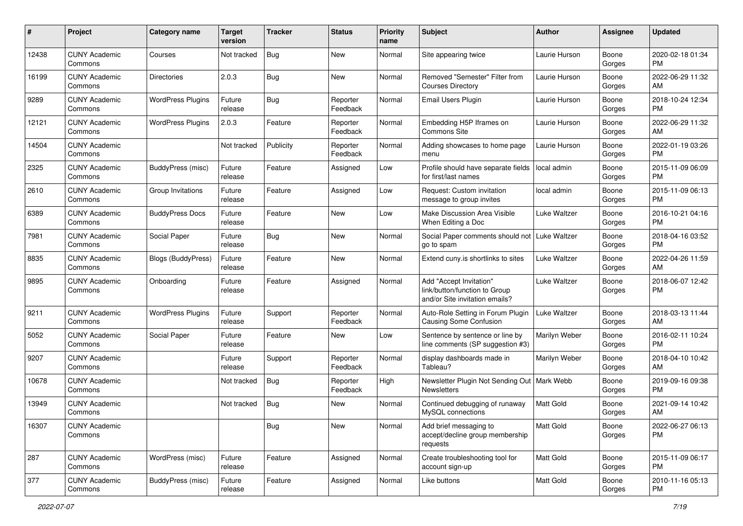| $\#$  | Project                         | <b>Category name</b>     | <b>Target</b><br>version | <b>Tracker</b> | <b>Status</b>        | <b>Priority</b><br>name | <b>Subject</b>                                                                             | Author              | <b>Assignee</b> | <b>Updated</b>                |
|-------|---------------------------------|--------------------------|--------------------------|----------------|----------------------|-------------------------|--------------------------------------------------------------------------------------------|---------------------|-----------------|-------------------------------|
| 12438 | <b>CUNY Academic</b><br>Commons | Courses                  | Not tracked              | <b>Bug</b>     | New                  | Normal                  | Site appearing twice                                                                       | Laurie Hurson       | Boone<br>Gorges | 2020-02-18 01:34<br>PM        |
| 16199 | <b>CUNY Academic</b><br>Commons | <b>Directories</b>       | 2.0.3                    | <b>Bug</b>     | New                  | Normal                  | Removed "Semester" Filter from<br><b>Courses Directory</b>                                 | Laurie Hurson       | Boone<br>Gorges | 2022-06-29 11:32<br>AM        |
| 9289  | <b>CUNY Academic</b><br>Commons | <b>WordPress Plugins</b> | Future<br>release        | Bug            | Reporter<br>Feedback | Normal                  | Email Users Plugin                                                                         | Laurie Hurson       | Boone<br>Gorges | 2018-10-24 12:34<br>PM        |
| 12121 | <b>CUNY Academic</b><br>Commons | <b>WordPress Plugins</b> | 2.0.3                    | Feature        | Reporter<br>Feedback | Normal                  | Embedding H5P Iframes on<br><b>Commons Site</b>                                            | Laurie Hurson       | Boone<br>Gorges | 2022-06-29 11:32<br>AM        |
| 14504 | <b>CUNY Academic</b><br>Commons |                          | Not tracked              | Publicity      | Reporter<br>Feedback | Normal                  | Adding showcases to home page<br>menu                                                      | Laurie Hurson       | Boone<br>Gorges | 2022-01-19 03:26<br>PM        |
| 2325  | <b>CUNY Academic</b><br>Commons | BuddyPress (misc)        | Future<br>release        | Feature        | Assigned             | Low                     | Profile should have separate fields<br>for first/last names                                | local admin         | Boone<br>Gorges | 2015-11-09 06:09<br><b>PM</b> |
| 2610  | <b>CUNY Academic</b><br>Commons | Group Invitations        | Future<br>release        | Feature        | Assigned             | Low                     | Request: Custom invitation<br>message to group invites                                     | local admin         | Boone<br>Gorges | 2015-11-09 06:13<br>PM        |
| 6389  | <b>CUNY Academic</b><br>Commons | <b>BuddyPress Docs</b>   | Future<br>release        | Feature        | New                  | Low                     | Make Discussion Area Visible<br>When Editing a Doc                                         | <b>Luke Waltzer</b> | Boone<br>Gorges | 2016-10-21 04:16<br>PM        |
| 7981  | <b>CUNY Academic</b><br>Commons | Social Paper             | Future<br>release        | Bug            | New                  | Normal                  | Social Paper comments should not<br>go to spam                                             | <b>Luke Waltzer</b> | Boone<br>Gorges | 2018-04-16 03:52<br><b>PM</b> |
| 8835  | <b>CUNY Academic</b><br>Commons | Blogs (BuddyPress)       | Future<br>release        | Feature        | New                  | Normal                  | Extend cuny.is shortlinks to sites                                                         | Luke Waltzer        | Boone<br>Gorges | 2022-04-26 11:59<br>AM        |
| 9895  | <b>CUNY Academic</b><br>Commons | Onboarding               | Future<br>release        | Feature        | Assigned             | Normal                  | Add "Accept Invitation"<br>link/button/function to Group<br>and/or Site invitation emails? | <b>Luke Waltzer</b> | Boone<br>Gorges | 2018-06-07 12:42<br><b>PM</b> |
| 9211  | <b>CUNY Academic</b><br>Commons | <b>WordPress Plugins</b> | Future<br>release        | Support        | Reporter<br>Feedback | Normal                  | Auto-Role Setting in Forum Plugin<br><b>Causing Some Confusion</b>                         | Luke Waltzer        | Boone<br>Gorges | 2018-03-13 11:44<br>AM        |
| 5052  | <b>CUNY Academic</b><br>Commons | Social Paper             | Future<br>release        | Feature        | New                  | Low                     | Sentence by sentence or line by<br>line comments (SP suggestion #3)                        | Marilyn Weber       | Boone<br>Gorges | 2016-02-11 10:24<br>PM        |
| 9207  | <b>CUNY Academic</b><br>Commons |                          | Future<br>release        | Support        | Reporter<br>Feedback | Normal                  | display dashboards made in<br>Tableau?                                                     | Marilyn Weber       | Boone<br>Gorges | 2018-04-10 10:42<br>AM        |
| 10678 | <b>CUNY Academic</b><br>Commons |                          | Not tracked              | <b>Bug</b>     | Reporter<br>Feedback | High                    | Newsletter Plugin Not Sending Out   Mark Webb<br>Newsletters                               |                     | Boone<br>Gorges | 2019-09-16 09:38<br>PM        |
| 13949 | <b>CUNY Academic</b><br>Commons |                          | Not tracked              | <b>Bug</b>     | New                  | Normal                  | Continued debugging of runaway<br>MySQL connections                                        | <b>Matt Gold</b>    | Boone<br>Gorges | 2021-09-14 10:42<br>AM        |
| 16307 | <b>CUNY Academic</b><br>Commons |                          |                          | <b>Bug</b>     | New                  | Normal                  | Add brief messaging to<br>accept/decline group membership<br>requests                      | Matt Gold           | Boone<br>Gorges | 2022-06-27 06:13<br><b>PM</b> |
| 287   | <b>CUNY Academic</b><br>Commons | WordPress (misc)         | Future<br>release        | Feature        | Assigned             | Normal                  | Create troubleshooting tool for<br>account sign-up                                         | Matt Gold           | Boone<br>Gorges | 2015-11-09 06:17<br><b>PM</b> |
| 377   | <b>CUNY Academic</b><br>Commons | BuddyPress (misc)        | Future<br>release        | Feature        | Assigned             | Normal                  | Like buttons                                                                               | Matt Gold           | Boone<br>Gorges | 2010-11-16 05:13<br><b>PM</b> |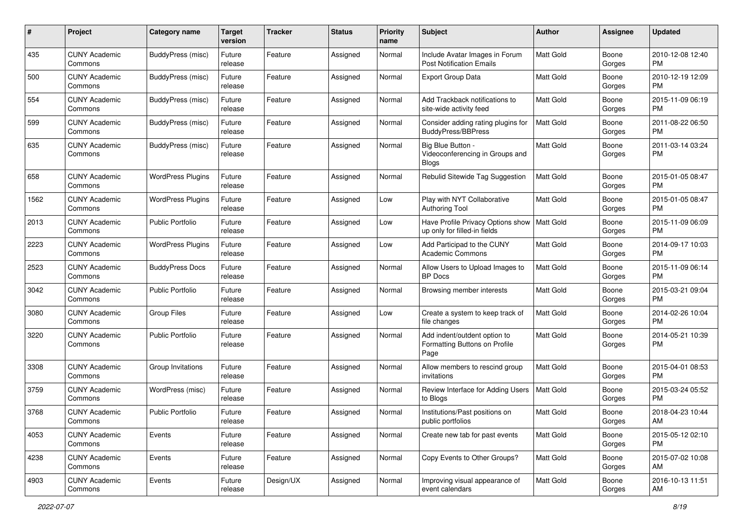| #    | Project                         | <b>Category name</b>     | Target<br>version | <b>Tracker</b> | <b>Status</b> | <b>Priority</b><br>name | <b>Subject</b>                                                        | Author           | <b>Assignee</b> | <b>Updated</b>                |
|------|---------------------------------|--------------------------|-------------------|----------------|---------------|-------------------------|-----------------------------------------------------------------------|------------------|-----------------|-------------------------------|
| 435  | <b>CUNY Academic</b><br>Commons | BuddyPress (misc)        | Future<br>release | Feature        | Assigned      | Normal                  | Include Avatar Images in Forum<br><b>Post Notification Emails</b>     | <b>Matt Gold</b> | Boone<br>Gorges | 2010-12-08 12:40<br>PM        |
| 500  | <b>CUNY Academic</b><br>Commons | BuddyPress (misc)        | Future<br>release | Feature        | Assigned      | Normal                  | <b>Export Group Data</b>                                              | <b>Matt Gold</b> | Boone<br>Gorges | 2010-12-19 12:09<br><b>PM</b> |
| 554  | <b>CUNY Academic</b><br>Commons | BuddyPress (misc)        | Future<br>release | Feature        | Assigned      | Normal                  | Add Trackback notifications to<br>site-wide activity feed             | <b>Matt Gold</b> | Boone<br>Gorges | 2015-11-09 06:19<br><b>PM</b> |
| 599  | <b>CUNY Academic</b><br>Commons | BuddyPress (misc)        | Future<br>release | Feature        | Assigned      | Normal                  | Consider adding rating plugins for<br>BuddyPress/BBPress              | <b>Matt Gold</b> | Boone<br>Gorges | 2011-08-22 06:50<br>PM        |
| 635  | <b>CUNY Academic</b><br>Commons | BuddyPress (misc)        | Future<br>release | Feature        | Assigned      | Normal                  | Big Blue Button -<br>Videoconferencing in Groups and<br><b>Blogs</b>  | <b>Matt Gold</b> | Boone<br>Gorges | 2011-03-14 03:24<br>PM        |
| 658  | <b>CUNY Academic</b><br>Commons | <b>WordPress Plugins</b> | Future<br>release | Feature        | Assigned      | Normal                  | Rebulid Sitewide Tag Suggestion                                       | Matt Gold        | Boone<br>Gorges | 2015-01-05 08:47<br>PM        |
| 1562 | <b>CUNY Academic</b><br>Commons | <b>WordPress Plugins</b> | Future<br>release | Feature        | Assigned      | Low                     | Play with NYT Collaborative<br><b>Authoring Tool</b>                  | Matt Gold        | Boone<br>Gorges | 2015-01-05 08:47<br>PM        |
| 2013 | <b>CUNY Academic</b><br>Commons | <b>Public Portfolio</b>  | Future<br>release | Feature        | Assigned      | Low                     | Have Profile Privacy Options show<br>up only for filled-in fields     | Matt Gold        | Boone<br>Gorges | 2015-11-09 06:09<br><b>PM</b> |
| 2223 | <b>CUNY Academic</b><br>Commons | <b>WordPress Plugins</b> | Future<br>release | Feature        | Assigned      | Low                     | Add Participad to the CUNY<br><b>Academic Commons</b>                 | Matt Gold        | Boone<br>Gorges | 2014-09-17 10:03<br>PM        |
| 2523 | <b>CUNY Academic</b><br>Commons | <b>BuddyPress Docs</b>   | Future<br>release | Feature        | Assigned      | Normal                  | Allow Users to Upload Images to<br><b>BP</b> Docs                     | <b>Matt Gold</b> | Boone<br>Gorges | 2015-11-09 06:14<br><b>PM</b> |
| 3042 | <b>CUNY Academic</b><br>Commons | Public Portfolio         | Future<br>release | Feature        | Assigned      | Normal                  | Browsing member interests                                             | Matt Gold        | Boone<br>Gorges | 2015-03-21 09:04<br><b>PM</b> |
| 3080 | <b>CUNY Academic</b><br>Commons | <b>Group Files</b>       | Future<br>release | Feature        | Assigned      | Low                     | Create a system to keep track of<br>file changes                      | <b>Matt Gold</b> | Boone<br>Gorges | 2014-02-26 10:04<br><b>PM</b> |
| 3220 | <b>CUNY Academic</b><br>Commons | <b>Public Portfolio</b>  | Future<br>release | Feature        | Assigned      | Normal                  | Add indent/outdent option to<br>Formatting Buttons on Profile<br>Page | <b>Matt Gold</b> | Boone<br>Gorges | 2014-05-21 10:39<br><b>PM</b> |
| 3308 | <b>CUNY Academic</b><br>Commons | Group Invitations        | Future<br>release | Feature        | Assigned      | Normal                  | Allow members to rescind group<br>invitations                         | <b>Matt Gold</b> | Boone<br>Gorges | 2015-04-01 08:53<br>PM        |
| 3759 | <b>CUNY Academic</b><br>Commons | WordPress (misc)         | Future<br>release | Feature        | Assigned      | Normal                  | Review Interface for Adding Users<br>to Blogs                         | Matt Gold        | Boone<br>Gorges | 2015-03-24 05:52<br>PM        |
| 3768 | <b>CUNY Academic</b><br>Commons | <b>Public Portfolio</b>  | Future<br>reiease | Feature        | Assigned      | Normal                  | Institutions/Past positions on<br>public portfolios                   | <b>Matt Gold</b> | Boone<br>Gorges | 2018-04-23 10:44<br>AM        |
| 4053 | <b>CUNY Academic</b><br>Commons | Events                   | Future<br>release | Feature        | Assigned      | Normal                  | Create new tab for past events                                        | Matt Gold        | Boone<br>Gorges | 2015-05-12 02:10<br>PM        |
| 4238 | <b>CUNY Academic</b><br>Commons | Events                   | Future<br>release | Feature        | Assigned      | Normal                  | Copy Events to Other Groups?                                          | Matt Gold        | Boone<br>Gorges | 2015-07-02 10:08<br>AM        |
| 4903 | <b>CUNY Academic</b><br>Commons | Events                   | Future<br>release | Design/UX      | Assigned      | Normal                  | Improving visual appearance of<br>event calendars                     | Matt Gold        | Boone<br>Gorges | 2016-10-13 11:51<br>AM        |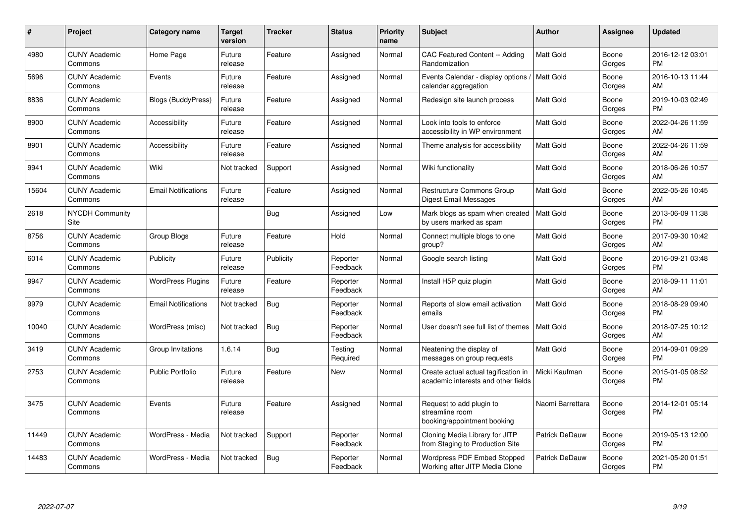| #     | Project                         | <b>Category name</b>       | Target<br>version | <b>Tracker</b> | <b>Status</b>        | <b>Priority</b><br>name | <b>Subject</b>                                                              | <b>Author</b>         | <b>Assignee</b> | <b>Updated</b>                |
|-------|---------------------------------|----------------------------|-------------------|----------------|----------------------|-------------------------|-----------------------------------------------------------------------------|-----------------------|-----------------|-------------------------------|
| 4980  | <b>CUNY Academic</b><br>Commons | Home Page                  | Future<br>release | Feature        | Assigned             | Normal                  | CAC Featured Content -- Adding<br>Randomization                             | Matt Gold             | Boone<br>Gorges | 2016-12-12 03:01<br><b>PM</b> |
| 5696  | <b>CUNY Academic</b><br>Commons | Events                     | Future<br>release | Feature        | Assigned             | Normal                  | Events Calendar - display options<br>calendar aggregation                   | Matt Gold             | Boone<br>Gorges | 2016-10-13 11:44<br>AM        |
| 8836  | <b>CUNY Academic</b><br>Commons | Blogs (BuddyPress)         | Future<br>release | Feature        | Assigned             | Normal                  | Redesign site launch process                                                | Matt Gold             | Boone<br>Gorges | 2019-10-03 02:49<br><b>PM</b> |
| 8900  | <b>CUNY Academic</b><br>Commons | Accessibility              | Future<br>release | Feature        | Assigned             | Normal                  | Look into tools to enforce<br>accessibility in WP environment               | Matt Gold             | Boone<br>Gorges | 2022-04-26 11:59<br>AM        |
| 8901  | <b>CUNY Academic</b><br>Commons | Accessibility              | Future<br>release | Feature        | Assigned             | Normal                  | Theme analysis for accessibility                                            | Matt Gold             | Boone<br>Gorges | 2022-04-26 11:59<br>AM        |
| 9941  | <b>CUNY Academic</b><br>Commons | Wiki                       | Not tracked       | Support        | Assigned             | Normal                  | Wiki functionality                                                          | <b>Matt Gold</b>      | Boone<br>Gorges | 2018-06-26 10:57<br>AM        |
| 15604 | <b>CUNY Academic</b><br>Commons | <b>Email Notifications</b> | Future<br>release | Feature        | Assigned             | Normal                  | Restructure Commons Group<br>Digest Email Messages                          | Matt Gold             | Boone<br>Gorges | 2022-05-26 10:45<br>AM        |
| 2618  | <b>NYCDH Community</b><br>Site  |                            |                   | <b>Bug</b>     | Assigned             | Low                     | Mark blogs as spam when created<br>by users marked as spam                  | Matt Gold             | Boone<br>Gorges | 2013-06-09 11:38<br><b>PM</b> |
| 8756  | <b>CUNY Academic</b><br>Commons | Group Blogs                | Future<br>release | Feature        | Hold                 | Normal                  | Connect multiple blogs to one<br>group?                                     | Matt Gold             | Boone<br>Gorges | 2017-09-30 10:42<br>AM        |
| 6014  | <b>CUNY Academic</b><br>Commons | Publicity                  | Future<br>release | Publicity      | Reporter<br>Feedback | Normal                  | Google search listing                                                       | Matt Gold             | Boone<br>Gorges | 2016-09-21 03:48<br><b>PM</b> |
| 9947  | <b>CUNY Academic</b><br>Commons | <b>WordPress Plugins</b>   | Future<br>release | Feature        | Reporter<br>Feedback | Normal                  | Install H5P quiz plugin                                                     | Matt Gold             | Boone<br>Gorges | 2018-09-11 11:01<br>AM        |
| 9979  | <b>CUNY Academic</b><br>Commons | <b>Email Notifications</b> | Not tracked       | <b>Bug</b>     | Reporter<br>Feedback | Normal                  | Reports of slow email activation<br>emails                                  | Matt Gold             | Boone<br>Gorges | 2018-08-29 09:40<br><b>PM</b> |
| 10040 | <b>CUNY Academic</b><br>Commons | WordPress (misc)           | Not tracked       | <b>Bug</b>     | Reporter<br>Feedback | Normal                  | User doesn't see full list of themes                                        | Matt Gold             | Boone<br>Gorges | 2018-07-25 10:12<br>AM        |
| 3419  | <b>CUNY Academic</b><br>Commons | Group Invitations          | 1.6.14            | <b>Bug</b>     | Testing<br>Required  | Normal                  | Neatening the display of<br>messages on group requests                      | Matt Gold             | Boone<br>Gorges | 2014-09-01 09:29<br><b>PM</b> |
| 2753  | <b>CUNY Academic</b><br>Commons | <b>Public Portfolio</b>    | Future<br>release | Feature        | New                  | Normal                  | Create actual actual tagification in<br>academic interests and other fields | Micki Kaufman         | Boone<br>Gorges | 2015-01-05 08:52<br><b>PM</b> |
| 3475  | <b>CUNY Academic</b><br>Commons | Events                     | Future<br>release | Feature        | Assigned             | Normal                  | Request to add plugin to<br>streamline room<br>booking/appointment booking  | Naomi Barrettara      | Boone<br>Gorges | 2014-12-01 05:14<br><b>PM</b> |
| 11449 | <b>CUNY Academic</b><br>Commons | WordPress - Media          | Not tracked       | Support        | Reporter<br>Feedback | Normal                  | Cloning Media Library for JITP<br>from Staging to Production Site           | <b>Patrick DeDauw</b> | Boone<br>Gorges | 2019-05-13 12:00<br><b>PM</b> |
| 14483 | <b>CUNY Academic</b><br>Commons | WordPress - Media          | Not tracked       | <b>Bug</b>     | Reporter<br>Feedback | Normal                  | <b>Wordpress PDF Embed Stopped</b><br>Working after JITP Media Clone        | Patrick DeDauw        | Boone<br>Gorges | 2021-05-20 01:51<br><b>PM</b> |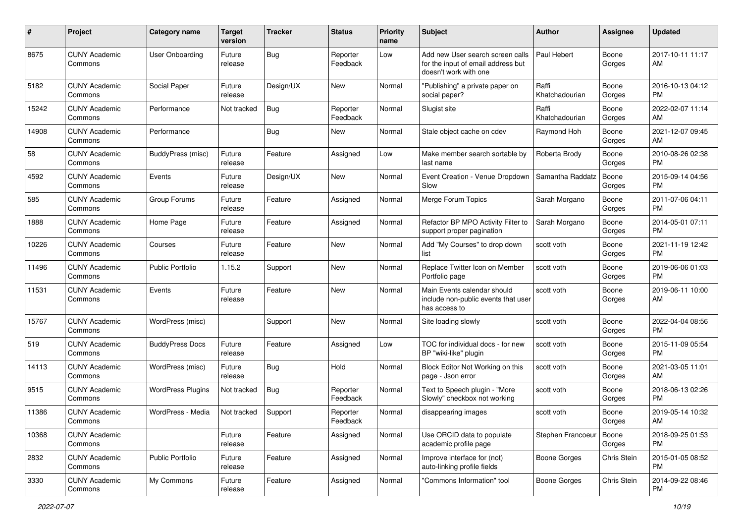| #     | Project                         | <b>Category name</b>     | <b>Target</b><br>version | <b>Tracker</b> | <b>Status</b>        | <b>Priority</b><br>name | <b>Subject</b>                                                                                  | Author                  | <b>Assignee</b> | <b>Updated</b>                |
|-------|---------------------------------|--------------------------|--------------------------|----------------|----------------------|-------------------------|-------------------------------------------------------------------------------------------------|-------------------------|-----------------|-------------------------------|
| 8675  | <b>CUNY Academic</b><br>Commons | User Onboarding          | Future<br>release        | <b>Bug</b>     | Reporter<br>Feedback | Low                     | Add new User search screen calls<br>for the input of email address but<br>doesn't work with one | Paul Hebert             | Boone<br>Gorges | 2017-10-11 11:17<br>AM        |
| 5182  | <b>CUNY Academic</b><br>Commons | Social Paper             | Future<br>release        | Design/UX      | New                  | Normal                  | "Publishing" a private paper on<br>social paper?                                                | Raffi<br>Khatchadourian | Boone<br>Gorges | 2016-10-13 04:12<br>PM        |
| 15242 | <b>CUNY Academic</b><br>Commons | Performance              | Not tracked              | <b>Bug</b>     | Reporter<br>Feedback | Normal                  | Slugist site                                                                                    | Raffi<br>Khatchadourian | Boone<br>Gorges | 2022-02-07 11:14<br>AM        |
| 14908 | <b>CUNY Academic</b><br>Commons | Performance              |                          | <b>Bug</b>     | New                  | Normal                  | Stale object cache on cdev                                                                      | Raymond Hoh             | Boone<br>Gorges | 2021-12-07 09:45<br>AM        |
| 58    | <b>CUNY Academic</b><br>Commons | BuddyPress (misc)        | Future<br>release        | Feature        | Assigned             | Low                     | Make member search sortable by<br>last name                                                     | Roberta Brody           | Boone<br>Gorges | 2010-08-26 02:38<br>PM        |
| 4592  | <b>CUNY Academic</b><br>Commons | Events                   | Future<br>release        | Design/UX      | New                  | Normal                  | Event Creation - Venue Dropdown<br>Slow                                                         | Samantha Raddatz        | Boone<br>Gorges | 2015-09-14 04:56<br>PM        |
| 585   | <b>CUNY Academic</b><br>Commons | Group Forums             | Future<br>release        | Feature        | Assigned             | Normal                  | Merge Forum Topics                                                                              | Sarah Morgano           | Boone<br>Gorges | 2011-07-06 04:11<br>PM        |
| 1888  | <b>CUNY Academic</b><br>Commons | Home Page                | Future<br>release        | Feature        | Assigned             | Normal                  | Refactor BP MPO Activity Filter to<br>support proper pagination                                 | Sarah Morgano           | Boone<br>Gorges | 2014-05-01 07:11<br>PM        |
| 10226 | <b>CUNY Academic</b><br>Commons | Courses                  | Future<br>release        | Feature        | New                  | Normal                  | Add "My Courses" to drop down<br>list                                                           | scott voth              | Boone<br>Gorges | 2021-11-19 12:42<br>PM        |
| 11496 | <b>CUNY Academic</b><br>Commons | <b>Public Portfolio</b>  | 1.15.2                   | Support        | New                  | Normal                  | Replace Twitter Icon on Member<br>Portfolio page                                                | scott voth              | Boone<br>Gorges | 2019-06-06 01:03<br>PM        |
| 11531 | <b>CUNY Academic</b><br>Commons | Events                   | Future<br>release        | Feature        | New                  | Normal                  | Main Events calendar should<br>include non-public events that user<br>has access to             | scott voth              | Boone<br>Gorges | 2019-06-11 10:00<br>AM        |
| 15767 | <b>CUNY Academic</b><br>Commons | WordPress (misc)         |                          | Support        | New                  | Normal                  | Site loading slowly                                                                             | scott voth              | Boone<br>Gorges | 2022-04-04 08:56<br>PM        |
| 519   | <b>CUNY Academic</b><br>Commons | <b>BuddyPress Docs</b>   | Future<br>release        | Feature        | Assigned             | Low                     | TOC for individual docs - for new<br>BP "wiki-like" plugin                                      | scott voth              | Boone<br>Gorges | 2015-11-09 05:54<br><b>PM</b> |
| 14113 | <b>CUNY Academic</b><br>Commons | WordPress (misc)         | Future<br>release        | <b>Bug</b>     | Hold                 | Normal                  | Block Editor Not Working on this<br>page - Json error                                           | scott voth              | Boone<br>Gorges | 2021-03-05 11:01<br>AM        |
| 9515  | <b>CUNY Academic</b><br>Commons | <b>WordPress Plugins</b> | Not tracked              | <b>Bug</b>     | Reporter<br>Feedback | Normal                  | Text to Speech plugin - "More<br>Slowly" checkbox not working                                   | scott voth              | Boone<br>Gorges | 2018-06-13 02:26<br>PM        |
| 11386 | <b>CUNY Academic</b><br>Commons | WordPress - Media        | Not tracked              | Support        | Reporter<br>Feedback | Normal                  | disappearing images                                                                             | scott voth              | Boone<br>Gorges | 2019-05-14 10:32<br>AM        |
| 10368 | <b>CUNY Academic</b><br>Commons |                          | Future<br>release        | Feature        | Assigned             | Normal                  | Use ORCID data to populate<br>academic profile page                                             | Stephen Francoeur       | Boone<br>Gorges | 2018-09-25 01:53<br><b>PM</b> |
| 2832  | <b>CUNY Academic</b><br>Commons | Public Portfolio         | Future<br>release        | Feature        | Assigned             | Normal                  | Improve interface for (not)<br>auto-linking profile fields                                      | Boone Gorges            | Chris Stein     | 2015-01-05 08:52<br><b>PM</b> |
| 3330  | <b>CUNY Academic</b><br>Commons | My Commons               | Future<br>release        | Feature        | Assigned             | Normal                  | "Commons Information" tool                                                                      | Boone Gorges            | Chris Stein     | 2014-09-22 08:46<br>PM        |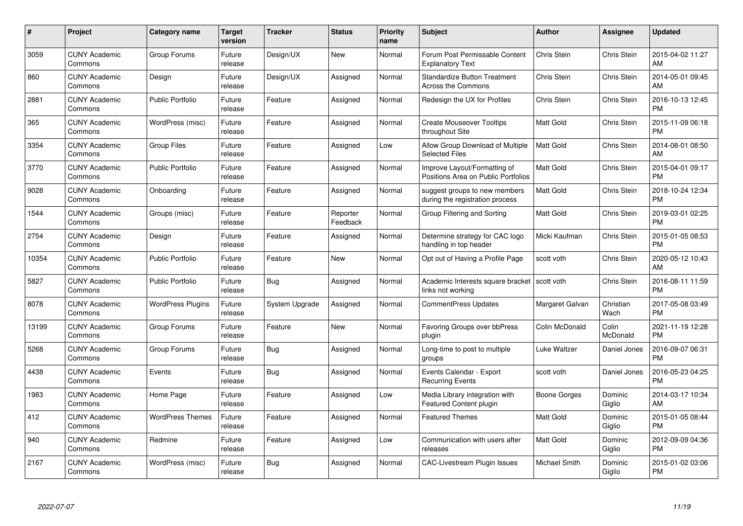| #     | Project                         | <b>Category name</b>     | <b>Target</b><br>version | <b>Tracker</b> | <b>Status</b>        | <b>Priority</b><br>name | <b>Subject</b>                                                      | <b>Author</b>    | Assignee           | <b>Updated</b>                |
|-------|---------------------------------|--------------------------|--------------------------|----------------|----------------------|-------------------------|---------------------------------------------------------------------|------------------|--------------------|-------------------------------|
| 3059  | <b>CUNY Academic</b><br>Commons | Group Forums             | Future<br>release        | Design/UX      | <b>New</b>           | Normal                  | Forum Post Permissable Content<br><b>Explanatory Text</b>           | Chris Stein      | Chris Stein        | 2015-04-02 11:27<br>AM        |
| 860   | <b>CUNY Academic</b><br>Commons | Design                   | Future<br>release        | Design/UX      | Assigned             | Normal                  | <b>Standardize Button Treatment</b><br><b>Across the Commons</b>    | Chris Stein      | <b>Chris Stein</b> | 2014-05-01 09:45<br>AM        |
| 2881  | <b>CUNY Academic</b><br>Commons | <b>Public Portfolio</b>  | Future<br>release        | Feature        | Assigned             | Normal                  | Redesign the UX for Profiles                                        | Chris Stein      | <b>Chris Stein</b> | 2016-10-13 12:45<br><b>PM</b> |
| 365   | <b>CUNY Academic</b><br>Commons | WordPress (misc)         | Future<br>release        | Feature        | Assigned             | Normal                  | <b>Create Mouseover Tooltips</b><br>throughout Site                 | Matt Gold        | Chris Stein        | 2015-11-09 06:18<br><b>PM</b> |
| 3354  | <b>CUNY Academic</b><br>Commons | <b>Group Files</b>       | Future<br>release        | Feature        | Assigned             | Low                     | Allow Group Download of Multiple<br><b>Selected Files</b>           | <b>Matt Gold</b> | Chris Stein        | 2014-08-01 08:50<br>AM        |
| 3770  | <b>CUNY Academic</b><br>Commons | <b>Public Portfolio</b>  | Future<br>release        | Feature        | Assigned             | Normal                  | Improve Layout/Formatting of<br>Positions Area on Public Portfolios | Matt Gold        | Chris Stein        | 2015-04-01 09:17<br><b>PM</b> |
| 9028  | <b>CUNY Academic</b><br>Commons | Onboarding               | Future<br>release        | Feature        | Assigned             | Normal                  | suggest groups to new members<br>during the registration process    | <b>Matt Gold</b> | <b>Chris Stein</b> | 2018-10-24 12:34<br><b>PM</b> |
| 1544  | <b>CUNY Academic</b><br>Commons | Groups (misc)            | Future<br>release        | Feature        | Reporter<br>Feedback | Normal                  | Group Filtering and Sorting                                         | <b>Matt Gold</b> | Chris Stein        | 2019-03-01 02:25<br><b>PM</b> |
| 2754  | <b>CUNY Academic</b><br>Commons | Design                   | Future<br>release        | Feature        | Assigned             | Normal                  | Determine strategy for CAC logo<br>handling in top header           | Micki Kaufman    | Chris Stein        | 2015-01-05 08:53<br><b>PM</b> |
| 10354 | <b>CUNY Academic</b><br>Commons | <b>Public Portfolio</b>  | Future<br>release        | Feature        | <b>New</b>           | Normal                  | Opt out of Having a Profile Page                                    | scott voth       | Chris Stein        | 2020-05-12 10:43<br>AM        |
| 5827  | <b>CUNY Academic</b><br>Commons | <b>Public Portfolio</b>  | Future<br>release        | Bug            | Assigned             | Normal                  | Academic Interests square bracket<br>links not working              | scott voth       | Chris Stein        | 2016-08-11 11:59<br><b>PM</b> |
| 8078  | <b>CUNY Academic</b><br>Commons | <b>WordPress Plugins</b> | Future<br>release        | System Upgrade | Assigned             | Normal                  | <b>CommentPress Updates</b>                                         | Margaret Galvan  | Christian<br>Wach  | 2017-05-08 03:49<br><b>PM</b> |
| 13199 | <b>CUNY Academic</b><br>Commons | Group Forums             | Future<br>release        | Feature        | New                  | Normal                  | Favoring Groups over bbPress<br>plugin                              | Colin McDonald   | Colin<br>McDonald  | 2021-11-19 12:28<br><b>PM</b> |
| 5268  | <b>CUNY Academic</b><br>Commons | Group Forums             | Future<br>release        | <b>Bug</b>     | Assigned             | Normal                  | Long-time to post to multiple<br>groups                             | Luke Waltzer     | Daniel Jones       | 2016-09-07 06:31<br><b>PM</b> |
| 4438  | <b>CUNY Academic</b><br>Commons | Events                   | Future<br>release        | Bug            | Assigned             | Normal                  | Events Calendar - Export<br><b>Recurring Events</b>                 | scott voth       | Daniel Jones       | 2016-05-23 04:25<br><b>PM</b> |
| 1983  | <b>CUNY Academic</b><br>Commons | Home Page                | Future<br>release        | Feature        | Assigned             | Low                     | Media Library integration with<br><b>Featured Content plugin</b>    | Boone Gorges     | Dominic<br>Giglio  | 2014-03-17 10:34<br>AM        |
| 412   | <b>CUNY Academic</b><br>Commons | <b>WordPress Themes</b>  | Future<br>release        | Feature        | Assigned             | Normal                  | <b>Featured Themes</b>                                              | <b>Matt Gold</b> | Dominic<br>Giglio  | 2015-01-05 08:44<br><b>PM</b> |
| 940   | <b>CUNY Academic</b><br>Commons | Redmine                  | Future<br>release        | Feature        | Assigned             | Low                     | Communication with users after<br>releases                          | <b>Matt Gold</b> | Dominic<br>Giglio  | 2012-09-09 04:36<br><b>PM</b> |
| 2167  | CUNY Academic<br>Commons        | WordPress (misc)         | Future<br>release        | Bug            | Assigned             | Normal                  | <b>CAC-Livestream Plugin Issues</b>                                 | Michael Smith    | Dominic<br>Giglio  | 2015-01-02 03:06<br><b>PM</b> |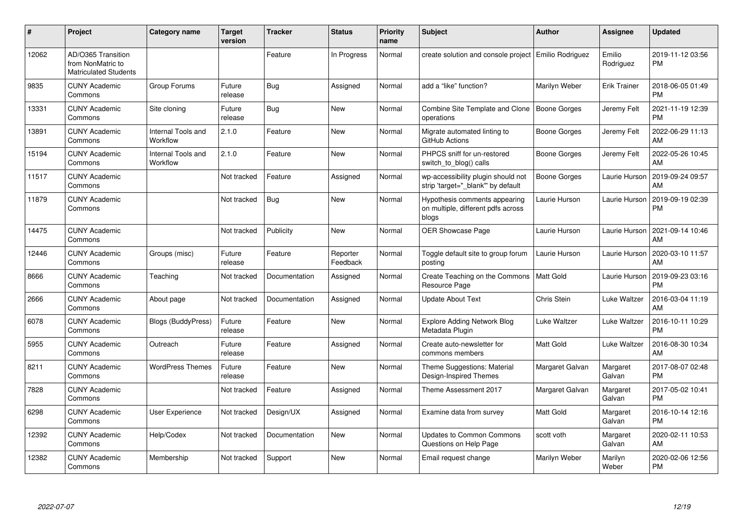| #     | Project                                                                 | Category name                  | <b>Target</b><br>version | <b>Tracker</b> | <b>Status</b>        | <b>Priority</b><br>name | <b>Subject</b>                                                               | <b>Author</b>    | <b>Assignee</b>     | <b>Updated</b>                |
|-------|-------------------------------------------------------------------------|--------------------------------|--------------------------|----------------|----------------------|-------------------------|------------------------------------------------------------------------------|------------------|---------------------|-------------------------------|
| 12062 | AD/O365 Transition<br>from NonMatric to<br><b>Matriculated Students</b> |                                |                          | Feature        | In Progress          | Normal                  | create solution and console project   Emilio Rodriguez                       |                  | Emilio<br>Rodriguez | 2019-11-12 03:56<br><b>PM</b> |
| 9835  | <b>CUNY Academic</b><br>Commons                                         | Group Forums                   | Future<br>release        | Bug            | Assigned             | Normal                  | add a "like" function?                                                       | Marilyn Weber    | Erik Trainer        | 2018-06-05 01:49<br><b>PM</b> |
| 13331 | <b>CUNY Academic</b><br>Commons                                         | Site cloning                   | Future<br>release        | Bug            | New                  | Normal                  | Combine Site Template and Clone   Boone Gorges<br>operations                 |                  | Jeremy Felt         | 2021-11-19 12:39<br><b>PM</b> |
| 13891 | <b>CUNY Academic</b><br>Commons                                         | Internal Tools and<br>Workflow | 2.1.0                    | Feature        | New                  | Normal                  | Migrate automated linting to<br>GitHub Actions                               | Boone Gorges     | Jeremy Felt         | 2022-06-29 11:13<br>AM        |
| 15194 | <b>CUNY Academic</b><br>Commons                                         | Internal Tools and<br>Workflow | 2.1.0                    | Feature        | New                  | Normal                  | PHPCS sniff for un-restored<br>switch to blog() calls                        | Boone Gorges     | Jeremy Felt         | 2022-05-26 10:45<br>AM        |
| 11517 | <b>CUNY Academic</b><br>Commons                                         |                                | Not tracked              | Feature        | Assigned             | Normal                  | wp-accessibility plugin should not<br>strip 'target=" blank" by default      | Boone Gorges     | Laurie Hurson       | 2019-09-24 09:57<br>AM        |
| 11879 | <b>CUNY Academic</b><br>Commons                                         |                                | Not tracked              | Bug            | <b>New</b>           | Normal                  | Hypothesis comments appearing<br>on multiple, different pdfs across<br>blogs | Laurie Hurson    | Laurie Hurson       | 2019-09-19 02:39<br><b>PM</b> |
| 14475 | <b>CUNY Academic</b><br>Commons                                         |                                | Not tracked              | Publicity      | <b>New</b>           | Normal                  | OER Showcase Page                                                            | Laurie Hurson    | Laurie Hurson       | 2021-09-14 10:46<br>AM        |
| 12446 | <b>CUNY Academic</b><br>Commons                                         | Groups (misc)                  | Future<br>release        | Feature        | Reporter<br>Feedback | Normal                  | Toggle default site to group forum<br>posting                                | Laurie Hurson    | Laurie Hurson       | 2020-03-10 11:57<br>AM        |
| 8666  | <b>CUNY Academic</b><br>Commons                                         | Teaching                       | Not tracked              | Documentation  | Assigned             | Normal                  | Create Teaching on the Commons<br>Resource Page                              | Matt Gold        | Laurie Hurson       | 2019-09-23 03:16<br><b>PM</b> |
| 2666  | <b>CUNY Academic</b><br>Commons                                         | About page                     | Not tracked              | Documentation  | Assigned             | Normal                  | <b>Update About Text</b>                                                     | Chris Stein      | Luke Waltzer        | 2016-03-04 11:19<br>AM        |
| 6078  | <b>CUNY Academic</b><br>Commons                                         | <b>Blogs (BuddyPress)</b>      | Future<br>release        | Feature        | <b>New</b>           | Normal                  | <b>Explore Adding Network Blog</b><br>Metadata Plugin                        | Luke Waltzer     | Luke Waltzer        | 2016-10-11 10:29<br><b>PM</b> |
| 5955  | <b>CUNY Academic</b><br>Commons                                         | Outreach                       | Future<br>release        | Feature        | Assigned             | Normal                  | Create auto-newsletter for<br>commons members                                | <b>Matt Gold</b> | Luke Waltzer        | 2016-08-30 10:34<br>AM        |
| 8211  | <b>CUNY Academic</b><br>Commons                                         | <b>WordPress Themes</b>        | Future<br>release        | Feature        | New                  | Normal                  | Theme Suggestions: Material<br>Design-Inspired Themes                        | Margaret Galvan  | Margaret<br>Galvan  | 2017-08-07 02:48<br><b>PM</b> |
| 7828  | <b>CUNY Academic</b><br>Commons                                         |                                | Not tracked              | Feature        | Assigned             | Normal                  | Theme Assessment 2017                                                        | Margaret Galvan  | Margaret<br>Galvan  | 2017-05-02 10:41<br><b>PM</b> |
| 6298  | <b>CUNY Academic</b><br>Commons                                         | User Experience                | Not tracked              | Design/UX      | Assigned             | Normal                  | Examine data from survey                                                     | <b>Matt Gold</b> | Margaret<br>Galvan  | 2016-10-14 12:16<br><b>PM</b> |
| 12392 | <b>CUNY Academic</b><br>Commons                                         | Help/Codex                     | Not tracked              | Documentation  | <b>New</b>           | Normal                  | <b>Updates to Common Commons</b><br>Questions on Help Page                   | scott voth       | Margaret<br>Galvan  | 2020-02-11 10:53<br>AM        |
| 12382 | <b>CUNY Academic</b><br>Commons                                         | Membership                     | Not tracked              | Support        | <b>New</b>           | Normal                  | Email request change                                                         | Marilyn Weber    | Marilyn<br>Weber    | 2020-02-06 12:56<br><b>PM</b> |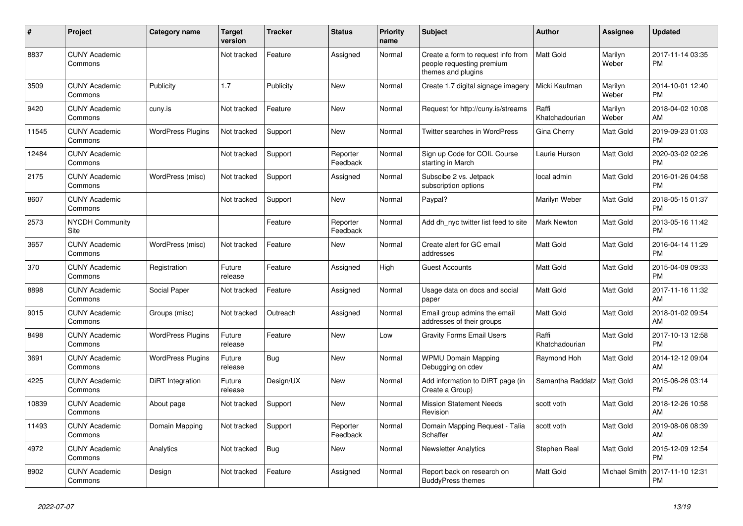| #     | Project                         | <b>Category name</b>     | <b>Target</b><br>version | <b>Tracker</b> | <b>Status</b>        | <b>Priority</b><br>name | <b>Subject</b>                                                                        | <b>Author</b>           | Assignee         | <b>Updated</b>                |
|-------|---------------------------------|--------------------------|--------------------------|----------------|----------------------|-------------------------|---------------------------------------------------------------------------------------|-------------------------|------------------|-------------------------------|
| 8837  | <b>CUNY Academic</b><br>Commons |                          | Not tracked              | Feature        | Assigned             | Normal                  | Create a form to request info from<br>people requesting premium<br>themes and plugins | <b>Matt Gold</b>        | Marilyn<br>Weber | 2017-11-14 03:35<br><b>PM</b> |
| 3509  | <b>CUNY Academic</b><br>Commons | Publicity                | 1.7                      | Publicity      | <b>New</b>           | Normal                  | Create 1.7 digital signage imagery                                                    | Micki Kaufman           | Marilyn<br>Weber | 2014-10-01 12:40<br><b>PM</b> |
| 9420  | <b>CUNY Academic</b><br>Commons | cuny.is                  | Not tracked              | Feature        | New                  | Normal                  | Request for http://cuny.is/streams                                                    | Raffi<br>Khatchadourian | Marilyn<br>Weber | 2018-04-02 10:08<br>AM        |
| 11545 | <b>CUNY Academic</b><br>Commons | <b>WordPress Plugins</b> | Not tracked              | Support        | New                  | Normal                  | Twitter searches in WordPress                                                         | Gina Cherry             | Matt Gold        | 2019-09-23 01:03<br><b>PM</b> |
| 12484 | <b>CUNY Academic</b><br>Commons |                          | Not tracked              | Support        | Reporter<br>Feedback | Normal                  | Sign up Code for COIL Course<br>starting in March                                     | Laurie Hurson           | Matt Gold        | 2020-03-02 02:26<br><b>PM</b> |
| 2175  | <b>CUNY Academic</b><br>Commons | WordPress (misc)         | Not tracked              | Support        | Assigned             | Normal                  | Subscibe 2 vs. Jetpack<br>subscription options                                        | local admin             | Matt Gold        | 2016-01-26 04:58<br><b>PM</b> |
| 8607  | <b>CUNY Academic</b><br>Commons |                          | Not tracked              | Support        | New                  | Normal                  | Paypal?                                                                               | Marilyn Weber           | Matt Gold        | 2018-05-15 01:37<br><b>PM</b> |
| 2573  | <b>NYCDH Community</b><br>Site  |                          |                          | Feature        | Reporter<br>Feedback | Normal                  | Add dh_nyc twitter list feed to site                                                  | <b>Mark Newton</b>      | Matt Gold        | 2013-05-16 11:42<br><b>PM</b> |
| 3657  | <b>CUNY Academic</b><br>Commons | WordPress (misc)         | Not tracked              | Feature        | New                  | Normal                  | Create alert for GC email<br>addresses                                                | <b>Matt Gold</b>        | Matt Gold        | 2016-04-14 11:29<br><b>PM</b> |
| 370   | <b>CUNY Academic</b><br>Commons | Registration             | Future<br>release        | Feature        | Assigned             | High                    | <b>Guest Accounts</b>                                                                 | <b>Matt Gold</b>        | Matt Gold        | 2015-04-09 09:33<br><b>PM</b> |
| 8898  | <b>CUNY Academic</b><br>Commons | Social Paper             | Not tracked              | Feature        | Assigned             | Normal                  | Usage data on docs and social<br>paper                                                | <b>Matt Gold</b>        | Matt Gold        | 2017-11-16 11:32<br>AM        |
| 9015  | <b>CUNY Academic</b><br>Commons | Groups (misc)            | Not tracked              | Outreach       | Assigned             | Normal                  | Email group admins the email<br>addresses of their groups                             | <b>Matt Gold</b>        | Matt Gold        | 2018-01-02 09:54<br>AM        |
| 8498  | <b>CUNY Academic</b><br>Commons | <b>WordPress Plugins</b> | Future<br>release        | Feature        | New                  | Low                     | <b>Gravity Forms Email Users</b>                                                      | Raffi<br>Khatchadourian | Matt Gold        | 2017-10-13 12:58<br><b>PM</b> |
| 3691  | <b>CUNY Academic</b><br>Commons | <b>WordPress Plugins</b> | Future<br>release        | Bug            | New                  | Normal                  | <b>WPMU Domain Mapping</b><br>Debugging on cdev                                       | Raymond Hoh             | Matt Gold        | 2014-12-12 09:04<br>AM        |
| 4225  | <b>CUNY Academic</b><br>Commons | DiRT Integration         | Future<br>release        | Design/UX      | New                  | Normal                  | Add information to DIRT page (in<br>Create a Group)                                   | Samantha Raddatz        | Matt Gold        | 2015-06-26 03:14<br><b>PM</b> |
| 10839 | <b>CUNY Academic</b><br>Commons | About page               | Not tracked              | Support        | <b>New</b>           | Normal                  | <b>Mission Statement Needs</b><br>Revision                                            | scott voth              | Matt Gold        | 2018-12-26 10:58<br>AM        |
| 11493 | <b>CUNY Academic</b><br>Commons | Domain Mapping           | Not tracked              | Support        | Reporter<br>Feedback | Normal                  | Domain Mapping Request - Talia<br>Schaffer                                            | scott voth              | Matt Gold        | 2019-08-06 08:39<br>AM        |
| 4972  | <b>CUNY Academic</b><br>Commons | Analytics                | Not tracked              | <b>Bug</b>     | New                  | Normal                  | <b>Newsletter Analytics</b>                                                           | Stephen Real            | Matt Gold        | 2015-12-09 12:54<br><b>PM</b> |
| 8902  | <b>CUNY Academic</b><br>Commons | Design                   | Not tracked              | Feature        | Assigned             | Normal                  | Report back on research on<br><b>BuddyPress themes</b>                                | <b>Matt Gold</b>        | Michael Smith    | 2017-11-10 12:31<br><b>PM</b> |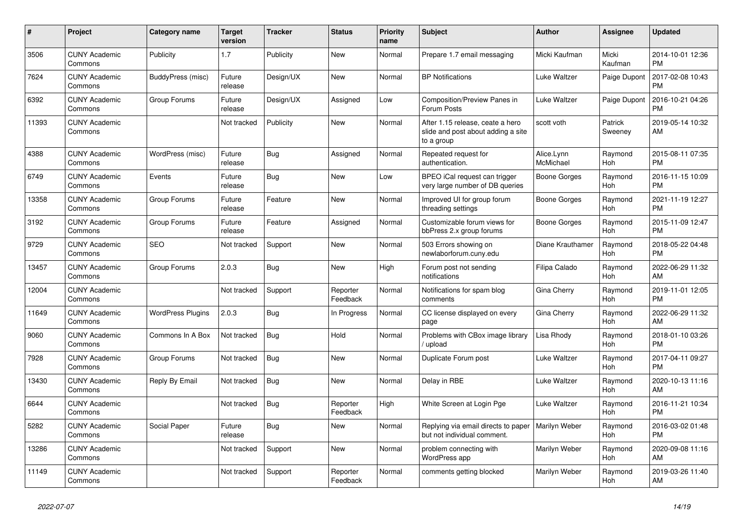| #     | <b>Project</b>                  | <b>Category name</b>     | <b>Target</b><br>version | <b>Tracker</b> | <b>Status</b>        | <b>Priority</b><br>name | <b>Subject</b>                                                                       | Author                  | Assignee           | <b>Updated</b>                |
|-------|---------------------------------|--------------------------|--------------------------|----------------|----------------------|-------------------------|--------------------------------------------------------------------------------------|-------------------------|--------------------|-------------------------------|
| 3506  | <b>CUNY Academic</b><br>Commons | Publicity                | 1.7                      | Publicity      | <b>New</b>           | Normal                  | Prepare 1.7 email messaging                                                          | Micki Kaufman           | Micki<br>Kaufman   | 2014-10-01 12:36<br><b>PM</b> |
| 7624  | <b>CUNY Academic</b><br>Commons | BuddyPress (misc)        | Future<br>release        | Design/UX      | New                  | Normal                  | <b>BP Notifications</b>                                                              | Luke Waltzer            | Paige Dupont       | 2017-02-08 10:43<br><b>PM</b> |
| 6392  | <b>CUNY Academic</b><br>Commons | Group Forums             | Future<br>release        | Design/UX      | Assigned             | Low                     | Composition/Preview Panes in<br>Forum Posts                                          | Luke Waltzer            | Paige Dupont       | 2016-10-21 04:26<br><b>PM</b> |
| 11393 | <b>CUNY Academic</b><br>Commons |                          | Not tracked              | Publicity      | <b>New</b>           | Normal                  | After 1.15 release, ceate a hero<br>slide and post about adding a site<br>to a group | scott voth              | Patrick<br>Sweeney | 2019-05-14 10:32<br>AM        |
| 4388  | <b>CUNY Academic</b><br>Commons | WordPress (misc)         | Future<br>release        | Bug            | Assigned             | Normal                  | Repeated request for<br>authentication.                                              | Alice.Lynn<br>McMichael | Raymond<br>Hoh     | 2015-08-11 07:35<br><b>PM</b> |
| 6749  | <b>CUNY Academic</b><br>Commons | Events                   | Future<br>release        | Bug            | New                  | Low                     | BPEO iCal request can trigger<br>very large number of DB queries                     | Boone Gorges            | Raymond<br>Hoh     | 2016-11-15 10:09<br><b>PM</b> |
| 13358 | <b>CUNY Academic</b><br>Commons | Group Forums             | Future<br>release        | Feature        | <b>New</b>           | Normal                  | Improved UI for group forum<br>threading settings                                    | Boone Gorges            | Raymond<br>Hoh     | 2021-11-19 12:27<br><b>PM</b> |
| 3192  | <b>CUNY Academic</b><br>Commons | Group Forums             | Future<br>release        | Feature        | Assigned             | Normal                  | Customizable forum views for<br>bbPress 2.x group forums                             | Boone Gorges            | Raymond<br>Hoh     | 2015-11-09 12:47<br><b>PM</b> |
| 9729  | <b>CUNY Academic</b><br>Commons | <b>SEO</b>               | Not tracked              | Support        | New                  | Normal                  | 503 Errors showing on<br>newlaborforum.cuny.edu                                      | Diane Krauthamer        | Raymond<br>Hoh     | 2018-05-22 04:48<br><b>PM</b> |
| 13457 | <b>CUNY Academic</b><br>Commons | Group Forums             | 2.0.3                    | Bug            | <b>New</b>           | High                    | Forum post not sending<br>notifications                                              | Filipa Calado           | Raymond<br>Hoh     | 2022-06-29 11:32<br>AM        |
| 12004 | <b>CUNY Academic</b><br>Commons |                          | Not tracked              | Support        | Reporter<br>Feedback | Normal                  | Notifications for spam blog<br>comments                                              | Gina Cherry             | Raymond<br>Hoh     | 2019-11-01 12:05<br><b>PM</b> |
| 11649 | <b>CUNY Academic</b><br>Commons | <b>WordPress Plugins</b> | 2.0.3                    | Bug            | In Progress          | Normal                  | CC license displayed on every<br>page                                                | Gina Cherry             | Raymond<br>Hoh     | 2022-06-29 11:32<br>AM        |
| 9060  | <b>CUNY Academic</b><br>Commons | Commons In A Box         | Not tracked              | Bug            | Hold                 | Normal                  | Problems with CBox image library<br>/ upload                                         | Lisa Rhody              | Raymond<br>Hoh     | 2018-01-10 03:26<br><b>PM</b> |
| 7928  | <b>CUNY Academic</b><br>Commons | Group Forums             | Not tracked              | Bug            | New                  | Normal                  | Duplicate Forum post                                                                 | Luke Waltzer            | Raymond<br>Hoh     | 2017-04-11 09:27<br><b>PM</b> |
| 13430 | <b>CUNY Academic</b><br>Commons | Reply By Email           | Not tracked              | <b>Bug</b>     | New                  | Normal                  | Delay in RBE                                                                         | Luke Waltzer            | Raymond<br>Hoh     | 2020-10-13 11:16<br>AM        |
| 6644  | <b>CUNY Academic</b><br>Commons |                          | Not tracked              | Bug            | Reporter<br>Feedback | High                    | White Screen at Login Pge                                                            | Luke Waltzer            | Raymond<br>Hoh     | 2016-11-21 10:34<br><b>PM</b> |
| 5282  | <b>CUNY Academic</b><br>Commons | Social Paper             | Future<br>release        | Bug            | <b>New</b>           | Normal                  | Replying via email directs to paper<br>but not individual comment.                   | Marilyn Weber           | Raymond<br>Hoh     | 2016-03-02 01:48<br><b>PM</b> |
| 13286 | <b>CUNY Academic</b><br>Commons |                          | Not tracked              | Support        | New                  | Normal                  | problem connecting with<br>WordPress app                                             | Marilyn Weber           | Raymond<br>Hoh     | 2020-09-08 11:16<br>AM        |
| 11149 | <b>CUNY Academic</b><br>Commons |                          | Not tracked              | Support        | Reporter<br>Feedback | Normal                  | comments getting blocked                                                             | Marilyn Weber           | Raymond<br>Hoh     | 2019-03-26 11:40<br>AM        |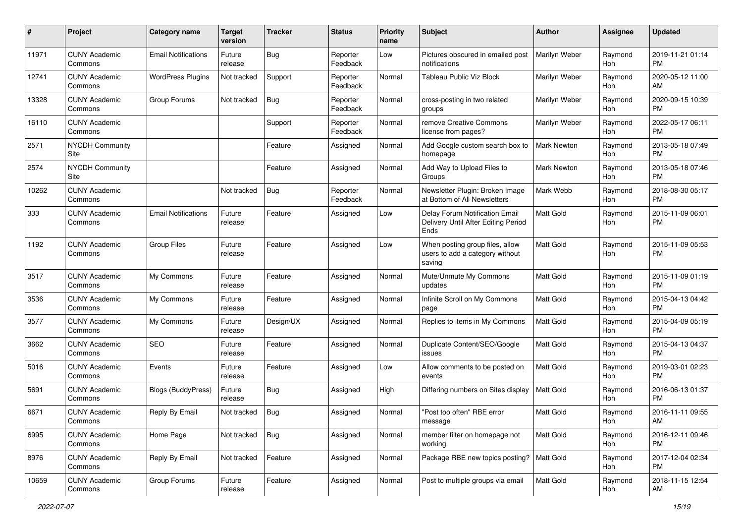| #     | Project                         | <b>Category name</b>       | <b>Target</b><br>version | <b>Tracker</b> | <b>Status</b>        | <b>Priority</b><br>name | <b>Subject</b>                                                                | Author             | <b>Assignee</b> | <b>Updated</b>                |
|-------|---------------------------------|----------------------------|--------------------------|----------------|----------------------|-------------------------|-------------------------------------------------------------------------------|--------------------|-----------------|-------------------------------|
| 11971 | <b>CUNY Academic</b><br>Commons | <b>Email Notifications</b> | Future<br>release        | <b>Bug</b>     | Reporter<br>Feedback | Low                     | Pictures obscured in emailed post<br>notifications                            | Marilyn Weber      | Raymond<br>Hoh  | 2019-11-21 01:14<br><b>PM</b> |
| 12741 | <b>CUNY Academic</b><br>Commons | <b>WordPress Plugins</b>   | Not tracked              | Support        | Reporter<br>Feedback | Normal                  | Tableau Public Viz Block                                                      | Marilyn Weber      | Raymond<br>Hoh  | 2020-05-12 11:00<br>AM        |
| 13328 | <b>CUNY Academic</b><br>Commons | Group Forums               | Not tracked              | <b>Bug</b>     | Reporter<br>Feedback | Normal                  | cross-posting in two related<br>groups                                        | Marilyn Weber      | Raymond<br>Hoh  | 2020-09-15 10:39<br><b>PM</b> |
| 16110 | <b>CUNY Academic</b><br>Commons |                            |                          | Support        | Reporter<br>Feedback | Normal                  | remove Creative Commons<br>license from pages?                                | Marilyn Weber      | Raymond<br>Hoh  | 2022-05-17 06:11<br><b>PM</b> |
| 2571  | <b>NYCDH Community</b><br>Site  |                            |                          | Feature        | Assigned             | Normal                  | Add Google custom search box to<br>homepage                                   | <b>Mark Newton</b> | Raymond<br>Hoh  | 2013-05-18 07:49<br><b>PM</b> |
| 2574  | <b>NYCDH Community</b><br>Site  |                            |                          | Feature        | Assigned             | Normal                  | Add Way to Upload Files to<br>Groups                                          | <b>Mark Newton</b> | Raymond<br>Hoh  | 2013-05-18 07:46<br><b>PM</b> |
| 10262 | <b>CUNY Academic</b><br>Commons |                            | Not tracked              | <b>Bug</b>     | Reporter<br>Feedback | Normal                  | Newsletter Plugin: Broken Image<br>at Bottom of All Newsletters               | Mark Webb          | Raymond<br>Hoh  | 2018-08-30 05:17<br><b>PM</b> |
| 333   | <b>CUNY Academic</b><br>Commons | <b>Email Notifications</b> | Future<br>release        | Feature        | Assigned             | Low                     | Delay Forum Notification Email<br>Delivery Until After Editing Period<br>Ends | <b>Matt Gold</b>   | Raymond<br>Hoh  | 2015-11-09 06:01<br><b>PM</b> |
| 1192  | <b>CUNY Academic</b><br>Commons | <b>Group Files</b>         | Future<br>release        | Feature        | Assigned             | Low                     | When posting group files, allow<br>users to add a category without<br>saving  | <b>Matt Gold</b>   | Raymond<br>Hoh  | 2015-11-09 05:53<br><b>PM</b> |
| 3517  | <b>CUNY Academic</b><br>Commons | My Commons                 | Future<br>release        | Feature        | Assigned             | Normal                  | Mute/Unmute My Commons<br>updates                                             | Matt Gold          | Raymond<br>Hoh  | 2015-11-09 01:19<br><b>PM</b> |
| 3536  | <b>CUNY Academic</b><br>Commons | My Commons                 | Future<br>release        | Feature        | Assigned             | Normal                  | Infinite Scroll on My Commons<br>page                                         | <b>Matt Gold</b>   | Raymond<br>Hoh  | 2015-04-13 04:42<br><b>PM</b> |
| 3577  | <b>CUNY Academic</b><br>Commons | My Commons                 | Future<br>release        | Design/UX      | Assigned             | Normal                  | Replies to items in My Commons                                                | <b>Matt Gold</b>   | Raymond<br>Hoh  | 2015-04-09 05:19<br><b>PM</b> |
| 3662  | <b>CUNY Academic</b><br>Commons | <b>SEO</b>                 | Future<br>release        | Feature        | Assigned             | Normal                  | Duplicate Content/SEO/Google<br>issues                                        | <b>Matt Gold</b>   | Raymond<br>Hoh  | 2015-04-13 04:37<br><b>PM</b> |
| 5016  | <b>CUNY Academic</b><br>Commons | Events                     | Future<br>release        | Feature        | Assigned             | Low                     | Allow comments to be posted on<br>events                                      | Matt Gold          | Raymond<br>Hoh  | 2019-03-01 02:23<br><b>PM</b> |
| 5691  | <b>CUNY Academic</b><br>Commons | Blogs (BuddyPress)         | Future<br>release        | Bug            | Assigned             | High                    | Differing numbers on Sites display                                            | <b>Matt Gold</b>   | Raymond<br>Hoh  | 2016-06-13 01:37<br><b>PM</b> |
| 6671  | <b>CUNY Academic</b><br>Commons | Reply By Email             | Not tracked              | <b>Bug</b>     | Assigned             | Normal                  | "Post too often" RBE error<br>message                                         | Matt Gold          | Raymond<br>Hoh  | 2016-11-11 09:55<br>AM        |
| 6995  | <b>CUNY Academic</b><br>Commons | Home Page                  | Not tracked              | Bug            | Assigned             | Normal                  | member filter on homepage not<br>working                                      | Matt Gold          | Raymond<br>Hoh  | 2016-12-11 09:46<br>PM        |
| 8976  | <b>CUNY Academic</b><br>Commons | Reply By Email             | Not tracked              | Feature        | Assigned             | Normal                  | Package RBE new topics posting?                                               | Matt Gold          | Raymond<br>Hoh  | 2017-12-04 02:34<br><b>PM</b> |
| 10659 | <b>CUNY Academic</b><br>Commons | Group Forums               | Future<br>release        | Feature        | Assigned             | Normal                  | Post to multiple groups via email                                             | Matt Gold          | Raymond<br>Hoh  | 2018-11-15 12:54<br>AM        |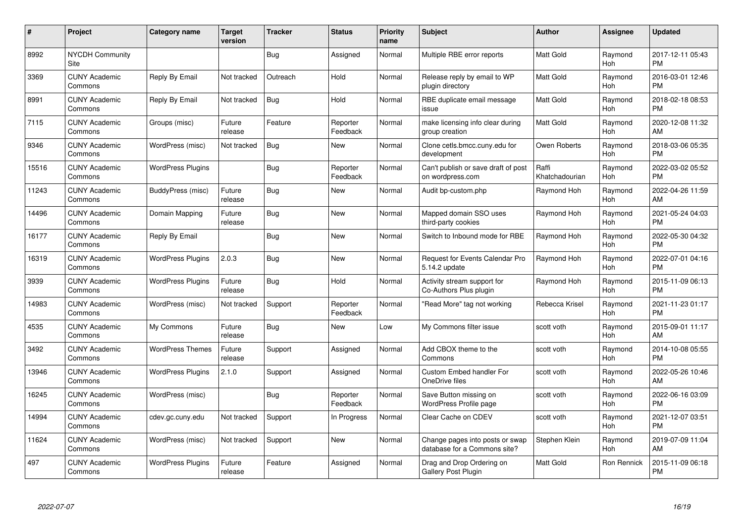| #     | Project                         | Category name            | Target<br>version | <b>Tracker</b> | <b>Status</b>        | <b>Priority</b><br>name | <b>Subject</b>                                                  | Author                  | <b>Assignee</b> | <b>Updated</b>                |
|-------|---------------------------------|--------------------------|-------------------|----------------|----------------------|-------------------------|-----------------------------------------------------------------|-------------------------|-----------------|-------------------------------|
| 8992  | <b>NYCDH Community</b><br>Site  |                          |                   | <b>Bug</b>     | Assigned             | Normal                  | Multiple RBE error reports                                      | <b>Matt Gold</b>        | Raymond<br>Hoh  | 2017-12-11 05:43<br><b>PM</b> |
| 3369  | <b>CUNY Academic</b><br>Commons | Reply By Email           | Not tracked       | Outreach       | Hold                 | Normal                  | Release reply by email to WP<br>plugin directory                | <b>Matt Gold</b>        | Raymond<br>Hoh  | 2016-03-01 12:46<br><b>PM</b> |
| 8991  | <b>CUNY Academic</b><br>Commons | Reply By Email           | Not tracked       | <b>Bug</b>     | Hold                 | Normal                  | RBE duplicate email message<br>issue                            | <b>Matt Gold</b>        | Raymond<br>Hoh  | 2018-02-18 08:53<br><b>PM</b> |
| 7115  | <b>CUNY Academic</b><br>Commons | Groups (misc)            | Future<br>release | Feature        | Reporter<br>Feedback | Normal                  | make licensing info clear during<br>group creation              | <b>Matt Gold</b>        | Raymond<br>Hoh  | 2020-12-08 11:32<br>AM        |
| 9346  | <b>CUNY Academic</b><br>Commons | WordPress (misc)         | Not tracked       | <b>Bug</b>     | New                  | Normal                  | Clone cetls.bmcc.cuny.edu for<br>development                    | Owen Roberts            | Raymond<br>Hoh  | 2018-03-06 05:35<br><b>PM</b> |
| 15516 | <b>CUNY Academic</b><br>Commons | <b>WordPress Plugins</b> |                   | <b>Bug</b>     | Reporter<br>Feedback | Normal                  | Can't publish or save draft of post<br>on wordpress.com         | Raffi<br>Khatchadourian | Raymond<br>Hoh  | 2022-03-02 05:52<br><b>PM</b> |
| 11243 | <b>CUNY Academic</b><br>Commons | BuddyPress (misc)        | Future<br>release | Bug            | <b>New</b>           | Normal                  | Audit bp-custom.php                                             | Raymond Hoh             | Raymond<br>Hoh  | 2022-04-26 11:59<br>AM        |
| 14496 | <b>CUNY Academic</b><br>Commons | Domain Mapping           | Future<br>release | Bug            | <b>New</b>           | Normal                  | Mapped domain SSO uses<br>third-party cookies                   | Raymond Hoh             | Raymond<br>Hoh  | 2021-05-24 04:03<br><b>PM</b> |
| 16177 | <b>CUNY Academic</b><br>Commons | Reply By Email           |                   | <b>Bug</b>     | New                  | Normal                  | Switch to Inbound mode for RBE                                  | Raymond Hoh             | Raymond<br>Hoh  | 2022-05-30 04:32<br><b>PM</b> |
| 16319 | <b>CUNY Academic</b><br>Commons | <b>WordPress Plugins</b> | 2.0.3             | <b>Bug</b>     | <b>New</b>           | Normal                  | <b>Request for Events Calendar Pro</b><br>5.14.2 update         | Raymond Hoh             | Raymond<br>Hoh  | 2022-07-01 04:16<br><b>PM</b> |
| 3939  | <b>CUNY Academic</b><br>Commons | <b>WordPress Plugins</b> | Future<br>release | Bug            | Hold                 | Normal                  | Activity stream support for<br>Co-Authors Plus plugin           | Raymond Hoh             | Raymond<br>Hoh  | 2015-11-09 06:13<br><b>PM</b> |
| 14983 | <b>CUNY Academic</b><br>Commons | WordPress (misc)         | Not tracked       | Support        | Reporter<br>Feedback | Normal                  | "Read More" tag not working                                     | Rebecca Krisel          | Raymond<br>Hoh  | 2021-11-23 01:17<br><b>PM</b> |
| 4535  | <b>CUNY Academic</b><br>Commons | My Commons               | Future<br>release | Bug            | New                  | Low                     | My Commons filter issue                                         | scott voth              | Raymond<br>Hoh  | 2015-09-01 11:17<br>AM        |
| 3492  | <b>CUNY Academic</b><br>Commons | <b>WordPress Themes</b>  | Future<br>release | Support        | Assigned             | Normal                  | Add CBOX theme to the<br>Commons                                | scott voth              | Raymond<br>Hoh  | 2014-10-08 05:55<br><b>PM</b> |
| 13946 | <b>CUNY Academic</b><br>Commons | <b>WordPress Plugins</b> | 2.1.0             | Support        | Assigned             | Normal                  | Custom Embed handler For<br>OneDrive files                      | scott voth              | Raymond<br>Hoh  | 2022-05-26 10:46<br>AM        |
| 16245 | <b>CUNY Academic</b><br>Commons | WordPress (misc)         |                   | Bug            | Reporter<br>Feedback | Normal                  | Save Button missing on<br>WordPress Profile page                | scott voth              | Raymond<br>Hoh  | 2022-06-16 03:09<br><b>PM</b> |
| 14994 | <b>CUNY Academic</b><br>Commons | cdev.gc.cuny.edu         | Not tracked       | Support        | In Progress          | Normal                  | Clear Cache on CDEV                                             | scott voth              | Raymond<br>Hoh  | 2021-12-07 03:51<br><b>PM</b> |
| 11624 | <b>CUNY Academic</b><br>Commons | WordPress (misc)         | Not tracked       | Support        | New                  | Normal                  | Change pages into posts or swap<br>database for a Commons site? | Stephen Klein           | Raymond<br>Hoh  | 2019-07-09 11:04<br>AM        |
| 497   | <b>CUNY Academic</b><br>Commons | <b>WordPress Plugins</b> | Future<br>release | Feature        | Assigned             | Normal                  | Drag and Drop Ordering on<br>Gallery Post Plugin                | Matt Gold               | Ron Rennick     | 2015-11-09 06:18<br><b>PM</b> |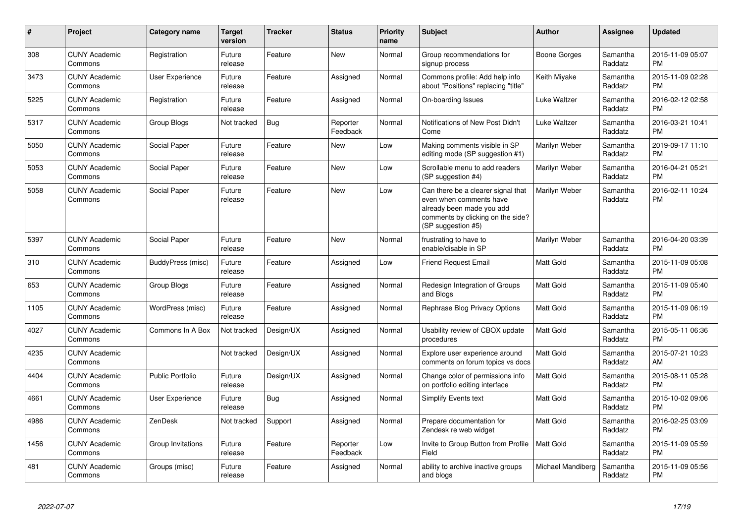| #    | Project                         | Category name     | <b>Target</b><br>version | <b>Tracker</b> | <b>Status</b>        | <b>Priority</b><br>name | <b>Subject</b>                                                                                                                                        | Author            | <b>Assignee</b>     | <b>Updated</b>                |
|------|---------------------------------|-------------------|--------------------------|----------------|----------------------|-------------------------|-------------------------------------------------------------------------------------------------------------------------------------------------------|-------------------|---------------------|-------------------------------|
| 308  | <b>CUNY Academic</b><br>Commons | Registration      | Future<br>release        | Feature        | <b>New</b>           | Normal                  | Group recommendations for<br>signup process                                                                                                           | Boone Gorges      | Samantha<br>Raddatz | 2015-11-09 05:07<br><b>PM</b> |
| 3473 | <b>CUNY Academic</b><br>Commons | User Experience   | Future<br>release        | Feature        | Assigned             | Normal                  | Commons profile: Add help info<br>about "Positions" replacing "title"                                                                                 | Keith Miyake      | Samantha<br>Raddatz | 2015-11-09 02:28<br><b>PM</b> |
| 5225 | <b>CUNY Academic</b><br>Commons | Registration      | Future<br>release        | Feature        | Assigned             | Normal                  | On-boarding Issues                                                                                                                                    | Luke Waltzer      | Samantha<br>Raddatz | 2016-02-12 02:58<br><b>PM</b> |
| 5317 | <b>CUNY Academic</b><br>Commons | Group Blogs       | Not tracked              | Bug            | Reporter<br>Feedback | Normal                  | Notifications of New Post Didn't<br>Come                                                                                                              | Luke Waltzer      | Samantha<br>Raddatz | 2016-03-21 10:41<br><b>PM</b> |
| 5050 | <b>CUNY Academic</b><br>Commons | Social Paper      | Future<br>release        | Feature        | New                  | Low                     | Making comments visible in SP<br>editing mode (SP suggestion #1)                                                                                      | Marilyn Weber     | Samantha<br>Raddatz | 2019-09-17 11:10<br><b>PM</b> |
| 5053 | <b>CUNY Academic</b><br>Commons | Social Paper      | Future<br>release        | Feature        | <b>New</b>           | Low                     | Scrollable menu to add readers<br>(SP suggestion #4)                                                                                                  | Marilyn Weber     | Samantha<br>Raddatz | 2016-04-21 05:21<br><b>PM</b> |
| 5058 | <b>CUNY Academic</b><br>Commons | Social Paper      | Future<br>release        | Feature        | <b>New</b>           | Low                     | Can there be a clearer signal that<br>even when comments have<br>already been made you add<br>comments by clicking on the side?<br>(SP suggestion #5) | Marilyn Weber     | Samantha<br>Raddatz | 2016-02-11 10:24<br><b>PM</b> |
| 5397 | <b>CUNY Academic</b><br>Commons | Social Paper      | Future<br>release        | Feature        | <b>New</b>           | Normal                  | frustrating to have to<br>enable/disable in SP                                                                                                        | Marilyn Weber     | Samantha<br>Raddatz | 2016-04-20 03:39<br><b>PM</b> |
| 310  | <b>CUNY Academic</b><br>Commons | BuddyPress (misc) | Future<br>release        | Feature        | Assigned             | Low                     | <b>Friend Request Email</b>                                                                                                                           | <b>Matt Gold</b>  | Samantha<br>Raddatz | 2015-11-09 05:08<br><b>PM</b> |
| 653  | <b>CUNY Academic</b><br>Commons | Group Blogs       | Future<br>release        | Feature        | Assigned             | Normal                  | Redesign Integration of Groups<br>and Blogs                                                                                                           | <b>Matt Gold</b>  | Samantha<br>Raddatz | 2015-11-09 05:40<br><b>PM</b> |
| 1105 | <b>CUNY Academic</b><br>Commons | WordPress (misc)  | Future<br>release        | Feature        | Assigned             | Normal                  | Rephrase Blog Privacy Options                                                                                                                         | <b>Matt Gold</b>  | Samantha<br>Raddatz | 2015-11-09 06:19<br><b>PM</b> |
| 4027 | <b>CUNY Academic</b><br>Commons | Commons In A Box  | Not tracked              | Design/UX      | Assigned             | Normal                  | Usability review of CBOX update<br>procedures                                                                                                         | <b>Matt Gold</b>  | Samantha<br>Raddatz | 2015-05-11 06:36<br><b>PM</b> |
| 4235 | <b>CUNY Academic</b><br>Commons |                   | Not tracked              | Design/UX      | Assigned             | Normal                  | Explore user experience around<br>comments on forum topics vs docs                                                                                    | <b>Matt Gold</b>  | Samantha<br>Raddatz | 2015-07-21 10:23<br>AM        |
| 4404 | <b>CUNY Academic</b><br>Commons | Public Portfolio  | Future<br>release        | Design/UX      | Assigned             | Normal                  | Change color of permissions info<br>on portfolio editing interface                                                                                    | <b>Matt Gold</b>  | Samantha<br>Raddatz | 2015-08-11 05:28<br><b>PM</b> |
| 4661 | <b>CUNY Academic</b><br>Commons | User Experience   | Future<br>release        | Bug            | Assigned             | Normal                  | <b>Simplify Events text</b>                                                                                                                           | <b>Matt Gold</b>  | Samantha<br>Raddatz | 2015-10-02 09:06<br><b>PM</b> |
| 4986 | <b>CUNY Academic</b><br>Commons | ZenDesk           | Not tracked              | Support        | Assigned             | Normal                  | Prepare documentation for<br>Zendesk re web widget                                                                                                    | <b>Matt Gold</b>  | Samantha<br>Raddatz | 2016-02-25 03:09<br><b>PM</b> |
| 1456 | <b>CUNY Academic</b><br>Commons | Group Invitations | Future<br>release        | Feature        | Reporter<br>Feedback | Low                     | Invite to Group Button from Profile<br>Field                                                                                                          | <b>Matt Gold</b>  | Samantha<br>Raddatz | 2015-11-09 05:59<br><b>PM</b> |
| 481  | <b>CUNY Academic</b><br>Commons | Groups (misc)     | Future<br>release        | Feature        | Assigned             | Normal                  | ability to archive inactive groups<br>and blogs                                                                                                       | Michael Mandiberg | Samantha<br>Raddatz | 2015-11-09 05:56<br><b>PM</b> |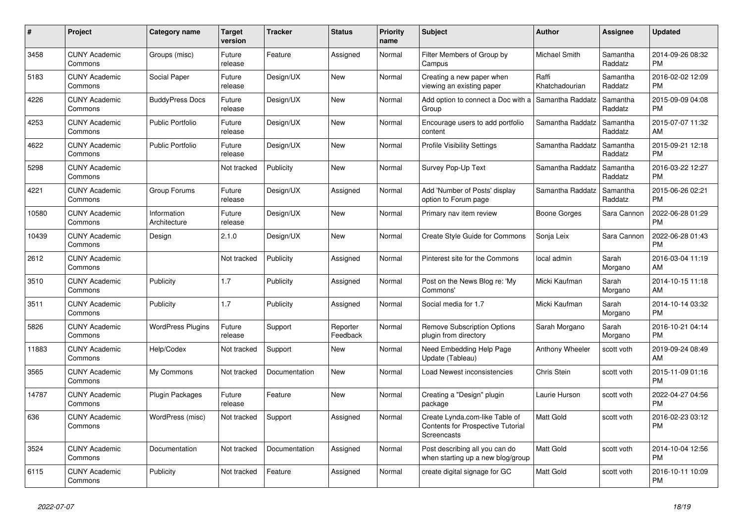| $\#$  | Project                         | <b>Category name</b>        | <b>Target</b><br>version | <b>Tracker</b> | <b>Status</b>        | <b>Priority</b><br>name | <b>Subject</b>                                                                     | <b>Author</b>           | Assignee            | <b>Updated</b>                |
|-------|---------------------------------|-----------------------------|--------------------------|----------------|----------------------|-------------------------|------------------------------------------------------------------------------------|-------------------------|---------------------|-------------------------------|
| 3458  | <b>CUNY Academic</b><br>Commons | Groups (misc)               | Future<br>release        | Feature        | Assigned             | Normal                  | Filter Members of Group by<br>Campus                                               | Michael Smith           | Samantha<br>Raddatz | 2014-09-26 08:32<br><b>PM</b> |
| 5183  | <b>CUNY Academic</b><br>Commons | Social Paper                | Future<br>release        | Design/UX      | New                  | Normal                  | Creating a new paper when<br>viewing an existing paper                             | Raffi<br>Khatchadourian | Samantha<br>Raddatz | 2016-02-02 12:09<br><b>PM</b> |
| 4226  | <b>CUNY Academic</b><br>Commons | <b>BuddyPress Docs</b>      | Future<br>release        | Design/UX      | <b>New</b>           | Normal                  | Add option to connect a Doc with a<br>Group                                        | Samantha Raddatz        | Samantha<br>Raddatz | 2015-09-09 04:08<br><b>PM</b> |
| 4253  | <b>CUNY Academic</b><br>Commons | <b>Public Portfolio</b>     | Future<br>release        | Design/UX      | <b>New</b>           | Normal                  | Encourage users to add portfolio<br>content                                        | Samantha Raddatz        | Samantha<br>Raddatz | 2015-07-07 11:32<br>AM        |
| 4622  | <b>CUNY Academic</b><br>Commons | <b>Public Portfolio</b>     | Future<br>release        | Design/UX      | New                  | Normal                  | <b>Profile Visibility Settings</b>                                                 | Samantha Raddatz        | Samantha<br>Raddatz | 2015-09-21 12:18<br><b>PM</b> |
| 5298  | <b>CUNY Academic</b><br>Commons |                             | Not tracked              | Publicity      | New                  | Normal                  | Survey Pop-Up Text                                                                 | Samantha Raddatz        | Samantha<br>Raddatz | 2016-03-22 12:27<br><b>PM</b> |
| 4221  | <b>CUNY Academic</b><br>Commons | Group Forums                | Future<br>release        | Design/UX      | Assigned             | Normal                  | Add 'Number of Posts' display<br>option to Forum page                              | Samantha Raddatz        | Samantha<br>Raddatz | 2015-06-26 02:21<br><b>PM</b> |
| 10580 | <b>CUNY Academic</b><br>Commons | Information<br>Architecture | Future<br>release        | Design/UX      | <b>New</b>           | Normal                  | Primary nav item review                                                            | Boone Gorges            | Sara Cannon         | 2022-06-28 01:29<br><b>PM</b> |
| 10439 | <b>CUNY Academic</b><br>Commons | Design                      | 2.1.0                    | Design/UX      | <b>New</b>           | Normal                  | Create Style Guide for Commons                                                     | Sonja Leix              | Sara Cannon         | 2022-06-28 01:43<br><b>PM</b> |
| 2612  | <b>CUNY Academic</b><br>Commons |                             | Not tracked              | Publicity      | Assigned             | Normal                  | Pinterest site for the Commons                                                     | local admin             | Sarah<br>Morgano    | 2016-03-04 11:19<br>AM        |
| 3510  | <b>CUNY Academic</b><br>Commons | Publicity                   | 1.7                      | Publicity      | Assigned             | Normal                  | Post on the News Blog re: 'My<br>Commons'                                          | Micki Kaufman           | Sarah<br>Morgano    | 2014-10-15 11:18<br>AM        |
| 3511  | <b>CUNY Academic</b><br>Commons | Publicity                   | 1.7                      | Publicity      | Assigned             | Normal                  | Social media for 1.7                                                               | Micki Kaufman           | Sarah<br>Morgano    | 2014-10-14 03:32<br><b>PM</b> |
| 5826  | <b>CUNY Academic</b><br>Commons | <b>WordPress Plugins</b>    | Future<br>release        | Support        | Reporter<br>Feedback | Normal                  | Remove Subscription Options<br>plugin from directory                               | Sarah Morgano           | Sarah<br>Morgano    | 2016-10-21 04:14<br><b>PM</b> |
| 11883 | <b>CUNY Academic</b><br>Commons | Help/Codex                  | Not tracked              | Support        | <b>New</b>           | Normal                  | Need Embedding Help Page<br>Update (Tableau)                                       | Anthony Wheeler         | scott voth          | 2019-09-24 08:49<br>AM        |
| 3565  | <b>CUNY Academic</b><br>Commons | My Commons                  | Not tracked              | Documentation  | New                  | Normal                  | Load Newest inconsistencies                                                        | Chris Stein             | scott voth          | 2015-11-09 01:16<br><b>PM</b> |
| 14787 | <b>CUNY Academic</b><br>Commons | Plugin Packages             | Future<br>release        | Feature        | <b>New</b>           | Normal                  | Creating a "Design" plugin<br>package                                              | Laurie Hurson           | scott voth          | 2022-04-27 04:56<br><b>PM</b> |
| 636   | <b>CUNY Academic</b><br>Commons | WordPress (misc)            | Not tracked              | Support        | Assigned             | Normal                  | Create Lynda.com-like Table of<br>Contents for Prospective Tutorial<br>Screencasts | <b>Matt Gold</b>        | scott voth          | 2016-02-23 03:12<br><b>PM</b> |
| 3524  | <b>CUNY Academic</b><br>Commons | Documentation               | Not tracked              | Documentation  | Assigned             | Normal                  | Post describing all you can do<br>when starting up a new blog/group                | Matt Gold               | scott voth          | 2014-10-04 12:56<br><b>PM</b> |
| 6115  | <b>CUNY Academic</b><br>Commons | Publicity                   | Not tracked              | Feature        | Assigned             | Normal                  | create digital signage for GC                                                      | Matt Gold               | scott voth          | 2016-10-11 10:09<br><b>PM</b> |